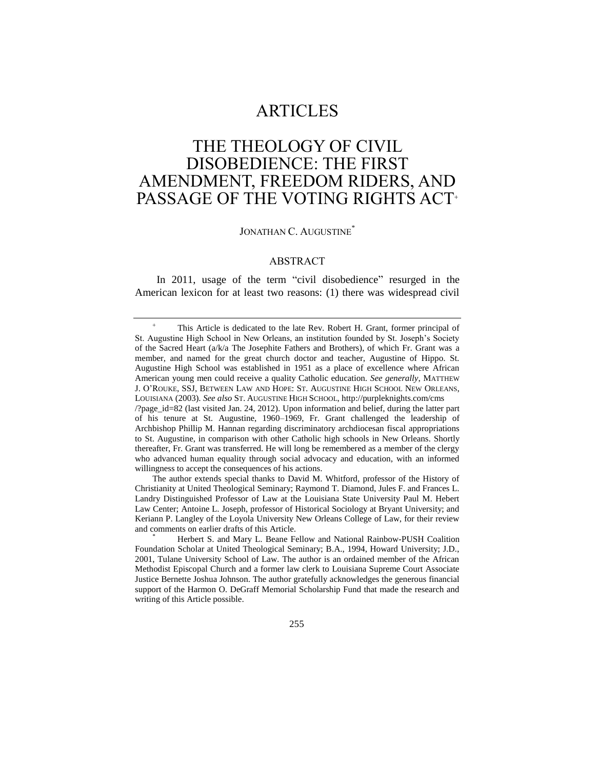# ARTICLES

# THE THEOLOGY OF CIVIL DISOBEDIENCE: THE FIRST AMENDMENT, FREEDOM RIDERS, AND PASSAGE OF THE VOTING RIGHTS ACT

JONATHAN C. AUGUSTINE<sup>\*</sup>

## ABSTRACT

In 2011, usage of the term "civil disobedience" resurged in the American lexicon for at least two reasons: (1) there was widespread civil

The author extends special thanks to David M. Whitford, professor of the History of Christianity at United Theological Seminary; Raymond T. Diamond, Jules F. and Frances L. Landry Distinguished Professor of Law at the Louisiana State University Paul M. Hebert Law Center; Antoine L. Joseph, professor of Historical Sociology at Bryant University; and Keriann P. Langley of the Loyola University New Orleans College of Law, for their review and comments on earlier drafts of this Article.

\* Herbert S. and Mary L. Beane Fellow and National Rainbow-PUSH Coalition Foundation Scholar at United Theological Seminary; B.A., 1994, Howard University; J.D., 2001, Tulane University School of Law. The author is an ordained member of the African Methodist Episcopal Church and a former law clerk to Louisiana Supreme Court Associate Justice Bernette Joshua Johnson. The author gratefully acknowledges the generous financial support of the Harmon O. DeGraff Memorial Scholarship Fund that made the research and writing of this Article possible.

 $\ddot{+}$  This Article is dedicated to the late Rev. Robert H. Grant, former principal of St. Augustine High School in New Orleans, an institution founded by St. Joseph's Society of the Sacred Heart (a/k/a The Josephite Fathers and Brothers), of which Fr. Grant was a member, and named for the great church doctor and teacher, Augustine of Hippo. St. Augustine High School was established in 1951 as a place of excellence where African American young men could receive a quality Catholic education. *See generally*, MATTHEW J. O'ROUKE, SSJ, BETWEEN LAW AND HOPE: ST. AUGUSTINE HIGH SCHOOL NEW ORLEANS, LOUISIANA (2003). *See also* ST. AUGUSTINE HIGH SCHOOL, http://purpleknights.com/cms

<sup>/?</sup>page\_id=82 (last visited Jan. 24, 2012). Upon information and belief, during the latter part of his tenure at St. Augustine, 1960–1969, Fr. Grant challenged the leadership of Archbishop Phillip M. Hannan regarding discriminatory archdiocesan fiscal appropriations to St. Augustine, in comparison with other Catholic high schools in New Orleans. Shortly thereafter, Fr. Grant was transferred. He will long be remembered as a member of the clergy who advanced human equality through social advocacy and education, with an informed willingness to accept the consequences of his actions.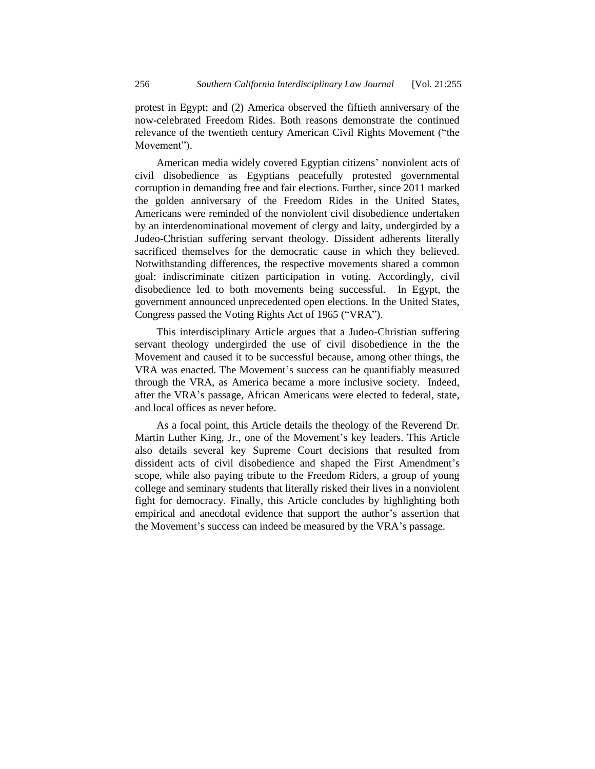protest in Egypt; and (2) America observed the fiftieth anniversary of the now-celebrated Freedom Rides. Both reasons demonstrate the continued relevance of the twentieth century American Civil Rights Movement ("the Movement").

American media widely covered Egyptian citizens' nonviolent acts of civil disobedience as Egyptians peacefully protested governmental corruption in demanding free and fair elections. Further, since 2011 marked the golden anniversary of the Freedom Rides in the United States, Americans were reminded of the nonviolent civil disobedience undertaken by an interdenominational movement of clergy and laity, undergirded by a Judeo-Christian suffering servant theology. Dissident adherents literally sacrificed themselves for the democratic cause in which they believed. Notwithstanding differences, the respective movements shared a common goal: indiscriminate citizen participation in voting. Accordingly, civil disobedience led to both movements being successful. In Egypt, the government announced unprecedented open elections. In the United States, Congress passed the Voting Rights Act of 1965 ("VRA").

This interdisciplinary Article argues that a Judeo-Christian suffering servant theology undergirded the use of civil disobedience in the the Movement and caused it to be successful because, among other things, the VRA was enacted. The Movement's success can be quantifiably measured through the VRA, as America became a more inclusive society. Indeed, after the VRA's passage, African Americans were elected to federal, state, and local offices as never before.

As a focal point, this Article details the theology of the Reverend Dr. Martin Luther King, Jr., one of the Movement's key leaders. This Article also details several key Supreme Court decisions that resulted from dissident acts of civil disobedience and shaped the First Amendment's scope, while also paying tribute to the Freedom Riders, a group of young college and seminary students that literally risked their lives in a nonviolent fight for democracy. Finally, this Article concludes by highlighting both empirical and anecdotal evidence that support the author's assertion that the Movement's success can indeed be measured by the VRA's passage.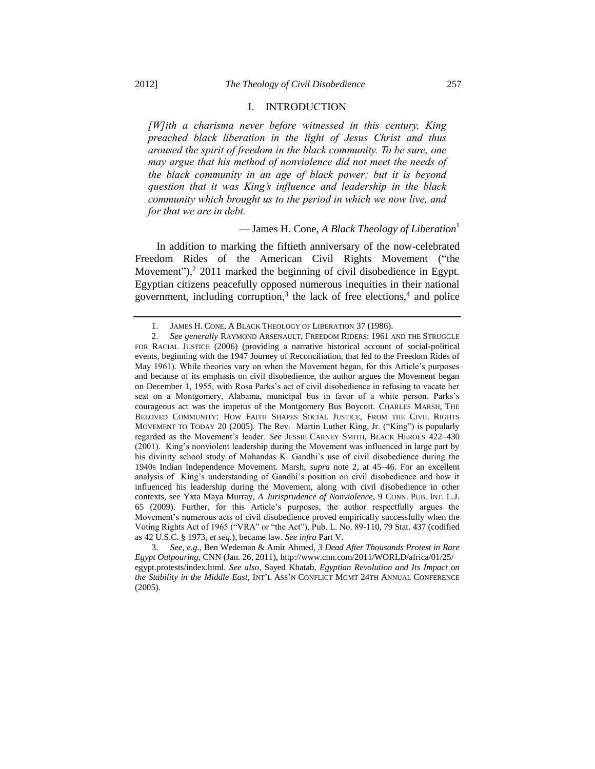## I. INTRODUCTION

*[W]ith a charisma never before witnessed in this century, King preached black liberation in the light of Jesus Christ and thus aroused the spirit of freedom in the black community. To be sure, one may argue that his method of nonviolence did not meet the needs of the black community in an age of black power; but it is beyond question that it was King's influence and leadership in the black community which brought us to the period in which we now live, and for that we are in debt.*

#### <span id="page-2-1"></span>— James H. Cone, *A Black Theology of Liberation*<sup>1</sup>

<span id="page-2-0"></span>In addition to marking the fiftieth anniversary of the now-celebrated Freedom Rides of the American Civil Rights Movement ("the Movement"), $\frac{2}{3}$  2011 marked the beginning of civil disobedience in Egypt. Egyptian citizens peacefully opposed numerous inequities in their national government, including corruption,<sup>3</sup> the lack of free elections,<sup>4</sup> and police

<sup>1.</sup> JAMES H. CONE, A BLACK THEOLOGY OF LIBERATION 37 (1986).

<sup>2.</sup> *See generally* RAYMOND ARSENAULT, FREEDOM RIDERS: 1961 AND THE STRUGGLE FOR RACIAL JUSTICE (2006) (providing a narrative historical account of social-political events, beginning with the 1947 Journey of Reconciliation, that led to the Freedom Rides of May 1961). While theories vary on when the Movement began, for this Article's purposes and because of its emphasis on civil disobedience, the author argues the Movement began on December 1, 1955, with Rosa Parks's act of civil disobedience in refusing to vacate her seat on a Montgomery, Alabama, municipal bus in favor of a white person. Parks's courageous act was the impetus of the Montgomery Bus Boycott. CHARLES MARSH, THE BELOVED COMMUNITY: HOW FAITH SHAPES SOCIAL JUSTICE, FROM THE CIVIL RIGHTS MOVEMENT TO TODAY 20 (2005). The Rev. Martin Luther King, Jr. ("King") is popularly regarded as the Movement's leader. *See* JESSIE CARNEY SMITH, BLACK HEROES 422–430 (2001). King's nonviolent leadership during the Movement was influenced in large part by his divinity school study of Mohandas K. Gandhi's use of civil disobedience during the 1940s Indian Independence Movement. Marsh, *supra* note [2,](#page-2-0) at 45–46. For an excellent analysis of King's understanding of Gandhi's position on civil disobedience and how it influenced his leadership during the Movement, along with civil disobedience in other contexts, see Yxta Maya Murray, *A Jurisprudence of Nonviolence*, 9 CONN. PUB. INT. L.J. 65 (2009). Further, for this Article's purposes, the author respectfully argues the Movement's numerous acts of civil disobedience proved empirically successfully when the Voting Rights Act of 1965 ("VRA" or "the Act"), Pub. L. No. 89-110, 79 Stat. 437 (codified as 42 U.S.C. § 1973, *et seq*.), became law. *See infra* Part V.

<sup>3.</sup> *See, e.g.,* Ben Wedeman & Amir Ahmed, *3 Dead After Thousands Protest in Rare Egypt Outpouring*, CNN (Jan. 26, 2011), http://www.cnn.com/2011/WORLD/africa/01/25/ egypt.protests/index.html. *See also,* Sayed Khatab, *Egyptian Revolution and Its Impact on the Stability in the Middle East*, INT'L ASS'N CONFLICT MGMT 24TH ANNUAL CONFERENCE (2005).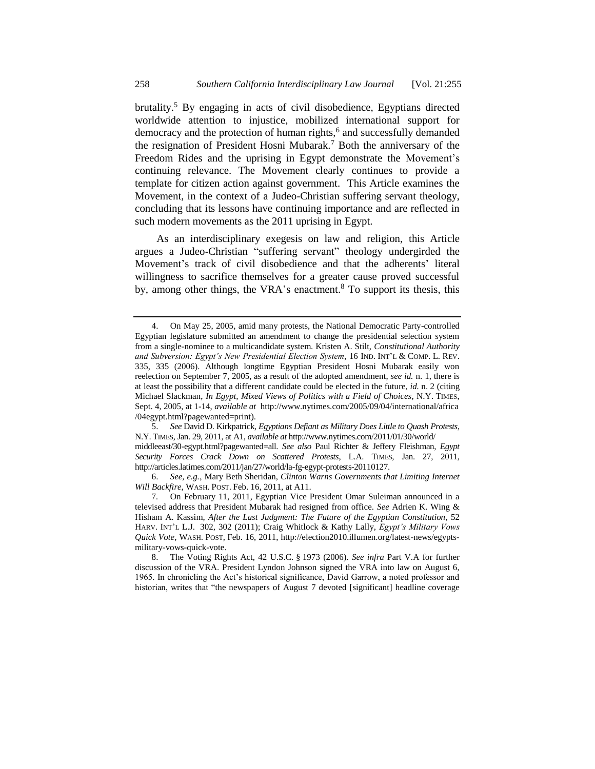brutality.<sup>5</sup> By engaging in acts of civil disobedience, Egyptians directed worldwide attention to injustice, mobilized international support for democracy and the protection of human rights,<sup>6</sup> and successfully demanded the resignation of President Hosni Mubarak.<sup>7</sup> Both the anniversary of the Freedom Rides and the uprising in Egypt demonstrate the Movement's continuing relevance. The Movement clearly continues to provide a template for citizen action against government. This Article examines the Movement, in the context of a Judeo-Christian suffering servant theology, concluding that its lessons have continuing importance and are reflected in such modern movements as the 2011 uprising in Egypt.

As an interdisciplinary exegesis on law and religion, this Article argues a Judeo-Christian "suffering servant" theology undergirded the Movement's track of civil disobedience and that the adherents' literal willingness to sacrifice themselves for a greater cause proved successful by, among other things, the VRA's enactment. $8$  To support its thesis, this

5. *See* David D. Kirkpatrick, *Egyptians Defiant as Military Does Little to Quash Protests*, N.Y. TIMES, Jan. 29, 2011, at A1, *available at* http://www.nytimes.com/2011/01/30/world/

middleeast/30-egypt.html?pagewanted=all. *See also* Paul Richter & Jeffery Fleishman, *Egypt Security Forces Crack Down on Scattered Protests*, L.A. TIMES, Jan. 27, 2011, [http://articles.latimes.com/2011/jan/27/world/la-fg-egypt-protests-20110127.](http://articles.latimes.com/2011/jan/27/world/la-fg-egypt-protests-20110127)

8. The Voting Rights Act, 42 U.S.C. § 1973 (2006). *See infra* Part V.A for further discussion of the VRA. President Lyndon Johnson signed the VRA into law on August 6, 1965. In chronicling the Act's historical significance, David Garrow, a noted professor and historian, writes that "the newspapers of August 7 devoted [significant] headline coverage

<span id="page-3-0"></span><sup>4.</sup> On May 25, 2005, amid many protests, the National Democratic Party-controlled Egyptian legislature submitted an amendment to change the presidential selection system from a single-nominee to a multicandidate system. Kristen A. Stilt, *Constitutional Authority and Subversion: Egypt's New Presidential Election System*, 16 IND. INT'L & COMP. L. REV. 335, 335 (2006). Although longtime Egyptian President Hosni Mubarak easily won reelection on September 7, 2005, as a result of the adopted amendment, *see id.* n. 1, there is at least the possibility that a different candidate could be elected in the future, *id.* n. 2 (citing Michael Slackman, *In Egypt, Mixed Views of Politics with a Field of Choices*, N.Y. TIMES, Sept. 4, 2005, at 1-14, *available at* http://www.nytimes.com/2005/09/04/international/africa /04egypt.html?pagewanted=print).

<sup>6.</sup> *See, e.g.*, Mary Beth Sheridan, *Clinton Warns Governments that Limiting Internet Will Backfire*, WASH. POST. Feb. 16, 2011, at A11.

<sup>7</sup>*.* On February 11, 2011, Egyptian Vice President Omar Suleiman announced in a televised address that President Mubarak had resigned from office. *See* Adrien K. Wing & Hisham A. Kassim, *After the Last Judgment: The Future of the Egyptian Constitution*, 52 HARV. INT'L L.J. 302, 302 (2011); Craig Whitlock & Kathy Lally, *Egypt's Military Vows Quick Vote*, WASH. POST, Feb. 16, 2011, http://election2010.illumen.org/latest-news/egyptsmilitary-vows-quick-vote.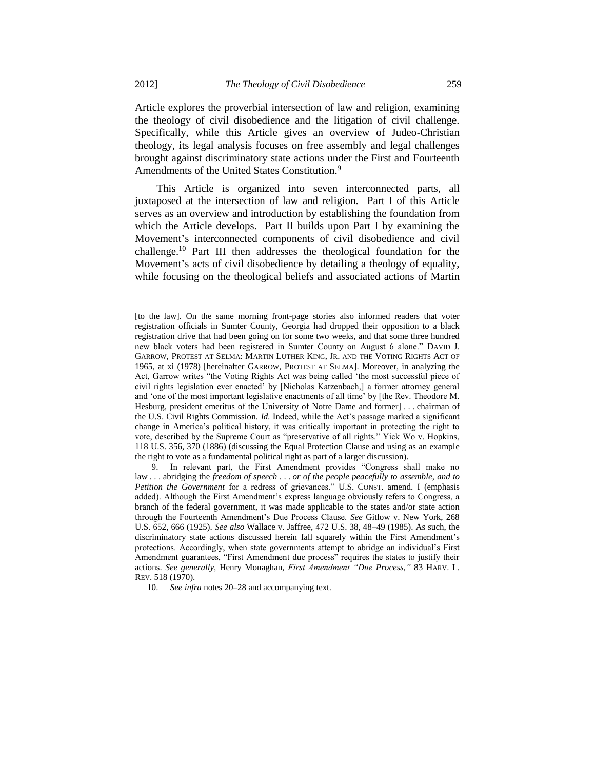Article explores the proverbial intersection of law and religion, examining the theology of civil disobedience and the litigation of civil challenge. Specifically, while this Article gives an overview of Judeo-Christian theology, its legal analysis focuses on free assembly and legal challenges brought against discriminatory state actions under the First and Fourteenth Amendments of the United States Constitution.<sup>9</sup>

<span id="page-4-0"></span>This Article is organized into seven interconnected parts, all juxtaposed at the intersection of law and religion. Part I of this Article serves as an overview and introduction by establishing the foundation from which the Article develops. Part II builds upon Part I by examining the Movement's interconnected components of civil disobedience and civil challenge.<sup>10</sup> Part III then addresses the theological foundation for the Movement's acts of civil disobedience by detailing a theology of equality, while focusing on the theological beliefs and associated actions of Martin

9. In relevant part, the First Amendment provides "Congress shall make no law . . . abridging the *freedom of speech* . . . *or of the people peacefully to assemble*, *and to Petition the Government* for a redress of grievances." U.S. CONST. amend. I (emphasis added). Although the First Amendment's express language obviously refers to Congress, a branch of the federal government, it was made applicable to the states and/or state action through the Fourteenth Amendment's Due Process Clause. *See* Gitlow v. New York, 268 U.S. 652, 666 (1925). *See also* Wallace v. Jaffree, 472 U.S. 38, 48–49 (1985). As such, the discriminatory state actions discussed herein fall squarely within the First Amendment's protections. Accordingly, when state governments attempt to abridge an individual's First Amendment guarantees, "First Amendment due process" requires the states to justify their actions. *See generally,* Henry Monaghan, *First Amendment "Due Process,"* 83 HARV. L. REV. 518 (1970).

10. *See infra* notes [20](#page-6-0)[–28](#page-9-0) and accompanying text.

<sup>[</sup>to the law]. On the same morning front-page stories also informed readers that voter registration officials in Sumter County, Georgia had dropped their opposition to a black registration drive that had been going on for some two weeks, and that some three hundred new black voters had been registered in Sumter County on August 6 alone." DAVID J. GARROW, PROTEST AT SELMA: MARTIN LUTHER KING, JR. AND THE VOTING RIGHTS ACT OF 1965, at xi (1978) [hereinafter GARROW, PROTEST AT SELMA]. Moreover, in analyzing the Act, Garrow writes "the Voting Rights Act was being called 'the most successful piece of civil rights legislation ever enacted' by [Nicholas Katzenbach,] a former attorney general and 'one of the most important legislative enactments of all time' by [the Rev. Theodore M. Hesburg, president emeritus of the University of Notre Dame and former] . . . chairman of the U.S. Civil Rights Commission. *Id.* Indeed, while the Act's passage marked a significant change in America's political history, it was critically important in protecting the right to vote, described by the Supreme Court as "preservative of all rights." Yick Wo v. Hopkins, 118 U.S. 356, 370 (1886) (discussing the Equal Protection Clause and using as an example the right to vote as a fundamental political right as part of a larger discussion).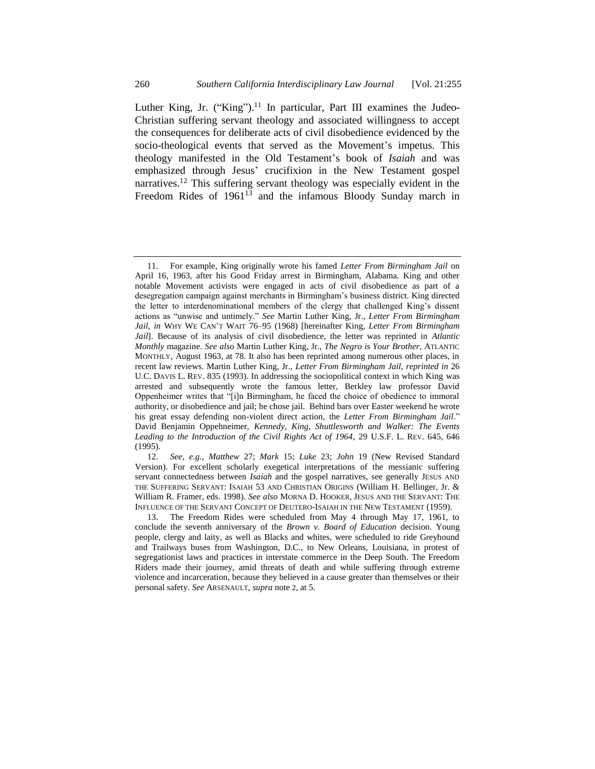<span id="page-5-0"></span>Luther King, Jr. ("King").<sup>11</sup> In particular, Part III examines the Judeo-Christian suffering servant theology and associated willingness to accept the consequences for deliberate acts of civil disobedience evidenced by the socio-theological events that served as the Movement's impetus. This theology manifested in the Old Testament's book of *Isaiah* and was emphasized through Jesus' crucifixion in the New Testament gospel narratives.<sup>12</sup> This suffering servant theology was especially evident in the Freedom Rides of  $1961<sup>13</sup>$  and the infamous Bloody Sunday march in

<sup>11.</sup> For example, King originally wrote his famed *Letter From Birmingham Jail* on April 16, 1963, after his Good Friday arrest in Birmingham, Alabama. King and other notable Movement activists were engaged in acts of civil disobedience as part of a desegregation campaign against merchants in Birmingham's business district. King directed the letter to interdenominational members of the clergy that challenged King's dissent actions as "unwise and untimely." *See* Martin Luther King, Jr., *Letter From Birmingham Jail*, *in* WHY WE CAN'T WAIT 76–95 (1968) [hereinafter King, *Letter From Birmingham Jail*]. Because of its analysis of civil disobedience, the letter was reprinted in *Atlantic Monthly* magazine. *See also* Martin Luther King, Jr., *The Negro is Your Brother*, ATLANTIC MONTHLY, August 1963, at 78. It also has been reprinted among numerous other places, in recent law reviews. Martin Luther King, Jr., *Letter From Birmingham Jail*, *reprinted in* 26 U.C. DAVIS L. REV. 835 (1993). In addressing the sociopolitical context in which King was arrested and subsequently wrote the famous letter, Berkley law professor David Oppenheimer writes that "[i]n Birmingham, he faced the choice of obedience to immoral authority, or disobedience and jail; he chose jail. Behind bars over Easter weekend he wrote his great essay defending non-violent direct action, the *Letter From Birmingham Jail*." David Benjamin Oppehneimer, *Kennedy, King, Shuttlesworth and Walker: The Events Leading to the Introduction of the Civil Rights Act of 1964*, 29 U.S.F. L. REV. 645, 646 (1995).

<sup>12.</sup> *See, e.g.*, *Matthew* 27; *Mark* 15; *Luke* 23; *John* 19 (New Revised Standard Version). For excellent scholarly exegetical interpretations of the messianic suffering servant connectedness between *Isaiah* and the gospel narratives, see generally JESUS AND THE SUFFERING SERVANT: ISAIAH 53 AND CHRISTIAN ORIGINS (William H. Bellinger, Jr. & William R. Framer, eds. 1998). *See also* MORNA D. HOOKER, JESUS AND THE SERVANT: THE INFLUENCE OF THE SERVANT CONCEPT OF DEUTERO-ISAIAH IN THE NEW TESTAMENT (1959).

<sup>13.</sup> The Freedom Rides were scheduled from May 4 through May 17, 1961, to conclude the seventh anniversary of the *Brown v. Board of Education* decision. Young people, clergy and laity, as well as Blacks and whites, were scheduled to ride Greyhound and Trailways buses from Washington, D.C., to New Orleans, Louisiana, in protest of segregationist laws and practices in interstate commerce in the Deep South. The Freedom Riders made their journey, amid threats of death and while suffering through extreme violence and incarceration, because they believed in a cause greater than themselves or their personal safety. *See* ARSENAULT, *supra* note [2](#page-2-0), at 5.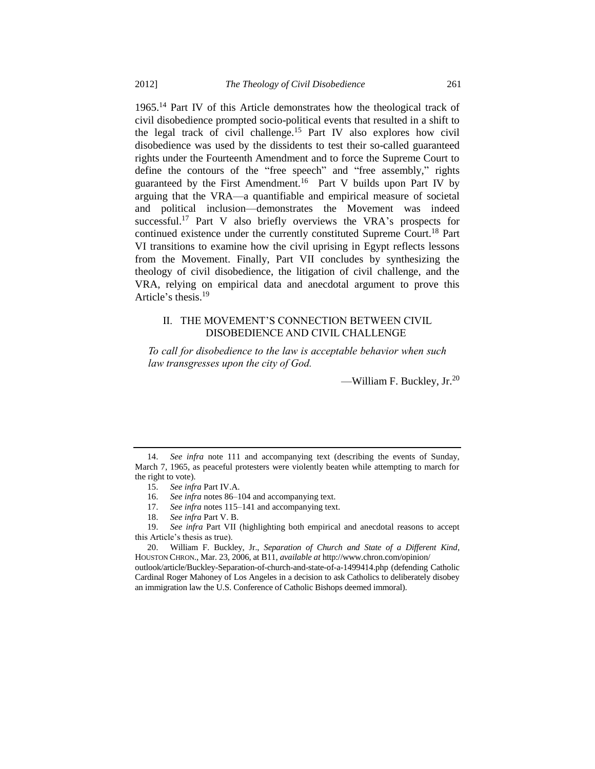1965.<sup>14</sup> Part IV of this Article demonstrates how the theological track of civil disobedience prompted socio-political events that resulted in a shift to the legal track of civil challenge.<sup>15</sup> Part IV also explores how civil disobedience was used by the dissidents to test their so-called guaranteed rights under the Fourteenth Amendment and to force the Supreme Court to define the contours of the "free speech" and "free assembly," rights guaranteed by the First Amendment.<sup>16</sup> Part V builds upon Part IV by arguing that the VRA—a quantifiable and empirical measure of societal and political inclusion—demonstrates the Movement was indeed successful.<sup>17</sup> Part V also briefly overviews the VRA's prospects for continued existence under the currently constituted Supreme Court.<sup>18</sup> Part VI transitions to examine how the civil uprising in Egypt reflects lessons from the Movement. Finally, Part VII concludes by synthesizing the theology of civil disobedience, the litigation of civil challenge, and the VRA, relying on empirical data and anecdotal argument to prove this Article's thesis. 19

## II. THE MOVEMENT'S CONNECTION BETWEEN CIVIL DISOBEDIENCE AND CIVIL CHALLENGE

*To call for disobedience to the law is acceptable behavior when such law transgresses upon the city of God.*

<span id="page-6-0"></span>—William F. Buckley, Jr.<sup>20</sup>

19. *See infra* Part VII (highlighting both empirical and anecdotal reasons to accept this Article's thesis as true).

20. William F. Buckley, Jr., *Separation of Church and State of a Different Kind*, HOUSTON CHRON., Mar. 23, 2006, at B11, *available at* http://www.chron.com/opinion/

outlook/article/Buckley-Separation-of-church-and-state-of-a-1499414.php (defending Catholic Cardinal Roger Mahoney of Los Angeles in a decision to ask Catholics to deliberately disobey an immigration law the U.S. Conference of Catholic Bishops deemed immoral).

<sup>14.</sup> *See infra* note [111](#page-35-0) and accompanying text (describing the events of Sunday, March 7, 1965, as peaceful protesters were violently beaten while attempting to march for the right to vote).

<sup>15.</sup> *See infra* Part IV.A.

<sup>16.</sup> *See infra* notes [86](#page-29-0)[–104](#page-33-0) and accompanying text.<br>17. *See infra* notes 115–141 and accompanying text

<sup>17.</sup> *See infra* notes [115–](#page-36-0)[141](#page-41-0) and accompanying text.<br>18. *See infra* Part V. B.

<sup>18.</sup> *See infra* Part V. B.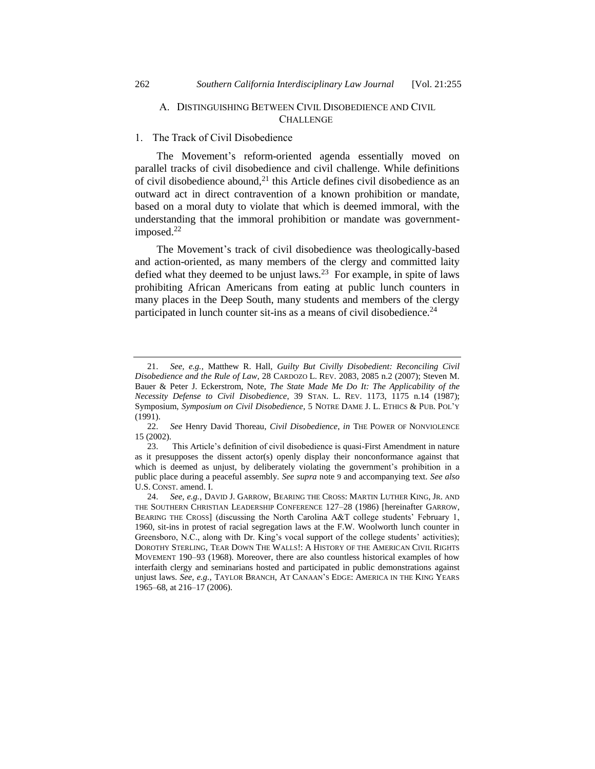# <span id="page-7-1"></span>A. DISTINGUISHING BETWEEN CIVIL DISOBEDIENCE AND CIVIL **CHALLENGE**

## 1. The Track of Civil Disobedience

The Movement's reform-oriented agenda essentially moved on parallel tracks of civil disobedience and civil challenge. While definitions of civil disobedience abound, $^{21}$  this Article defines civil disobedience as an outward act in direct contravention of a known prohibition or mandate, based on a moral duty to violate that which is deemed immoral, with the understanding that the immoral prohibition or mandate was governmentimposed.<sup>22</sup>

The Movement's track of civil disobedience was theologically-based and action-oriented, as many members of the clergy and committed laity defied what they deemed to be unjust laws.<sup>23</sup> For example, in spite of laws prohibiting African Americans from eating at public lunch counters in many places in the Deep South, many students and members of the clergy participated in lunch counter sit-ins as a means of civil disobedience.<sup>24</sup>

<span id="page-7-0"></span><sup>21.</sup> *See, e.g.*, Matthew R. Hall, *Guilty But Civilly Disobedient: Reconciling Civil Disobedience and the Rule of Law*, 28 CARDOZO L. REV. 2083, 2085 n.2 (2007); Steven M. Bauer & Peter J. Eckerstrom, Note, *The State Made Me Do It: The Applicability of the Necessity Defense to Civil Disobedience*, 39 STAN. L. REV. 1173, 1175 n.14 (1987); Symposium, *Symposium on Civil Disobedience*, 5 NOTRE DAME J. L. ETHICS & PUB. POL'Y (1991).

<sup>22.</sup> *See* Henry David Thoreau, *Civil Disobedience*, *in* THE POWER OF NONVIOLENCE 15 (2002).

<sup>23.</sup> This Article's definition of civil disobedience is quasi-First Amendment in nature as it presupposes the dissent actor(s) openly display their nonconformance against that which is deemed as unjust, by deliberately violating the government's prohibition in a public place during a peaceful assembly. *See supra* note [9](#page-4-0) and accompanying text. *See also* U.S. CONST. amend. I.

<sup>24.</sup> *See, e.g.*, DAVID J. GARROW, BEARING THE CROSS: MARTIN LUTHER KING, JR. AND THE SOUTHERN CHRISTIAN LEADERSHIP CONFERENCE 127–28 (1986) [hereinafter GARROW, BEARING THE CROSS] (discussing the North Carolina A&T college students' February 1, 1960, sit-ins in protest of racial segregation laws at the F.W. Woolworth lunch counter in Greensboro, N.C., along with Dr. King's vocal support of the college students' activities); DOROTHY STERLING, TEAR DOWN THE WALLS!: A HISTORY OF THE AMERICAN CIVIL RIGHTS MOVEMENT 190–93 (1968). Moreover, there are also countless historical examples of how interfaith clergy and seminarians hosted and participated in public demonstrations against unjust laws. *See, e.g.*, TAYLOR BRANCH, AT CANAAN'S EDGE: AMERICA IN THE KING YEARS 1965–68, at 216–17 (2006).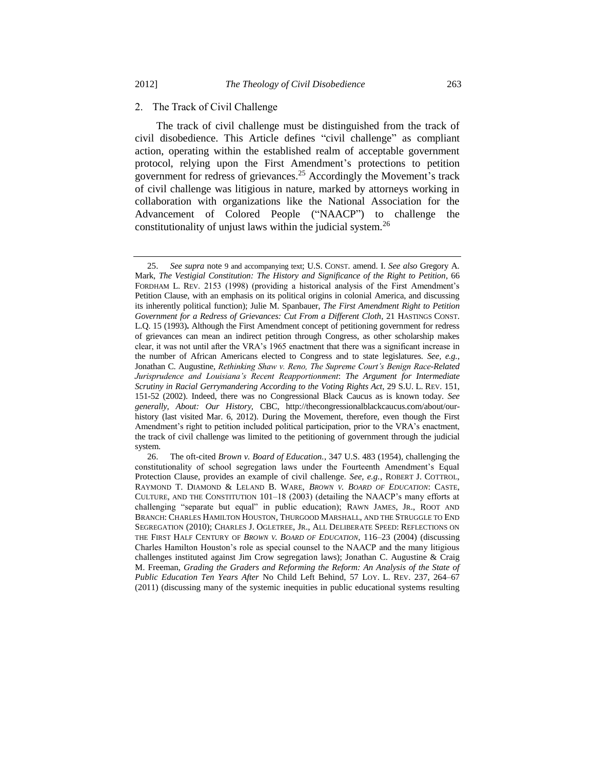### 2. The Track of Civil Challenge

<span id="page-8-0"></span>The track of civil challenge must be distinguished from the track of civil disobedience. This Article defines "civil challenge" as compliant action, operating within the established realm of acceptable government protocol, relying upon the First Amendment's protections to petition government for redress of grievances.<sup>25</sup> Accordingly the Movement's track of civil challenge was litigious in nature, marked by attorneys working in collaboration with organizations like the National Association for the Advancement of Colored People ("NAACP") to challenge the constitutionality of unjust laws within the judicial system.<sup>26</sup>

<sup>25.</sup> *See supra* note [9](#page-4-0) and accompanying text; U.S. CONST. amend. I. *See also* Gregory A. Mark, *The Vestigial Constitution: The History and Significance of the Right to Petition*, 66 FORDHAM L. REV. 2153 (1998) (providing a historical analysis of the First Amendment's Petition Clause, with an emphasis on its political origins in colonial America, and discussing its inherently political function); Julie M. Spanbauer, *The First Amendment Right to Petition Government for a Redress of Grievances: Cut From a Different Cloth*, 21 HASTINGS CONST. L.Q. 15 (1993)**.** Although the First Amendment concept of petitioning government for redress of grievances can mean an indirect petition through Congress, as other scholarship makes clear, it was not until after the VRA's 1965 enactment that there was a significant increase in the number of African Americans elected to Congress and to state legislatures. *See, e.g.*, Jonathan C. Augustine, *Rethinking Shaw v. Reno, The Supreme Court's Benign Race-Related Jurisprudence and Louisiana's Recent Reapportionment*: *The Argument for Intermediate Scrutiny in Racial Gerrymandering According to the Voting Rights Act*, 29 S.U. L. REV. 151, 151-52 (2002). Indeed, there was no Congressional Black Caucus as is known today. *See generally, About: Our History,* CBC, http://thecongressionalblackcaucus.com/about/ourhistory (last visited Mar. 6, 2012). During the Movement, therefore, even though the First Amendment's right to petition included political participation, prior to the VRA's enactment, the track of civil challenge was limited to the petitioning of government through the judicial system.

<sup>26.</sup> The oft-cited *Brown v. Board of Education.*, 347 U.S. 483 (1954)*,* challenging the constitutionality of school segregation laws under the Fourteenth Amendment's Equal Protection Clause, provides an example of civil challenge*. See, e.g.*, ROBERT J. COTTROL, RAYMOND T. DIAMOND & LELAND B. WARE, *BROWN V. BOARD OF EDUCATION*: CASTE, CULTURE, AND THE CONSTITUTION 101–18 (2003) (detailing the NAACP's many efforts at challenging "separate but equal" in public education); RAWN JAMES, JR., ROOT AND BRANCH: CHARLES HAMILTON HOUSTON, THURGOOD MARSHALL, AND THE STRUGGLE TO END SEGREGATION (2010); CHARLES J. OGLETREE, JR., ALL DELIBERATE SPEED: REFLECTIONS ON THE FIRST HALF CENTURY OF *BROWN V. BOARD OF EDUCATION*, 116–23 (2004) (discussing Charles Hamilton Houston's role as special counsel to the NAACP and the many litigious challenges instituted against Jim Crow segregation laws); Jonathan C. Augustine & Craig M. Freeman, *Grading the Graders and Reforming the Reform: An Analysis of the State of Public Education Ten Years After* No Child Left Behind, 57 LOY. L. REV. 237, 264–67 (2011) (discussing many of the systemic inequities in public educational systems resulting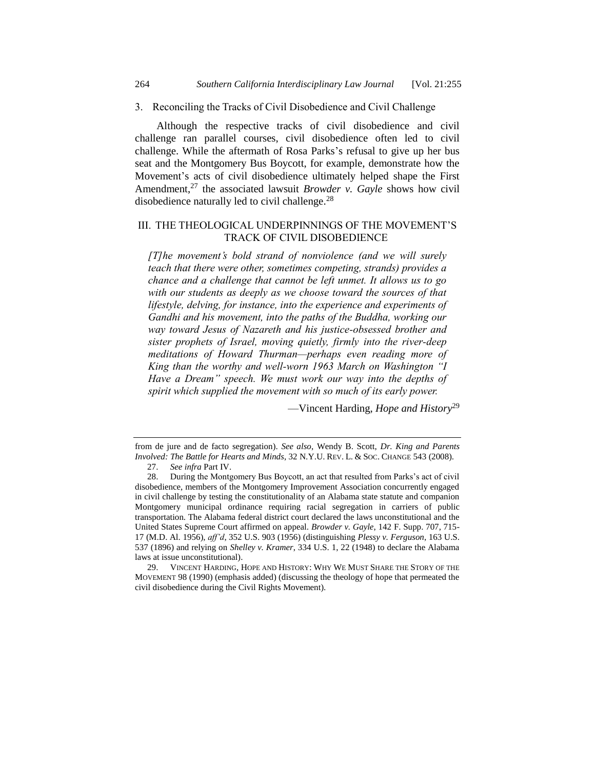#### 3. Reconciling the Tracks of Civil Disobedience and Civil Challenge

Although the respective tracks of civil disobedience and civil challenge ran parallel courses, civil disobedience often led to civil challenge. While the aftermath of Rosa Parks's refusal to give up her bus seat and the Montgomery Bus Boycott, for example, demonstrate how the Movement's acts of civil disobedience ultimately helped shape the First Amendment,<sup>27</sup> the associated lawsuit *Browder v. Gayle* shows how civil disobedience naturally led to civil challenge.<sup>28</sup>

# III. THE THEOLOGICAL UNDERPINNINGS OF THE MOVEMENT'S TRACK OF CIVIL DISOBEDIENCE

<span id="page-9-0"></span>*[T]he movement's bold strand of nonviolence (and we will surely teach that there were other, sometimes competing, strands) provides a chance and a challenge that cannot be left unmet. It allows us to go with our students as deeply as we choose toward the sources of that lifestyle, delving, for instance, into the experience and experiments of Gandhi and his movement, into the paths of the Buddha, working our way toward Jesus of Nazareth and his justice-obsessed brother and sister prophets of Israel, moving quietly, firmly into the river-deep meditations of Howard Thurman—perhaps even reading more of King than the worthy and well-worn 1963 March on Washington "I Have a Dream" speech. We must work our way into the depths of spirit which supplied the movement with so much of its early power.*

<span id="page-9-1"></span>—Vincent Harding, *Hope and History*<sup>29</sup>

29. VINCENT HARDING, HOPE AND HISTORY: WHY WE MUST SHARE THE STORY OF THE MOVEMENT 98 (1990) (emphasis added) (discussing the theology of hope that permeated the civil disobedience during the Civil Rights Movement).

from de jure and de facto segregation). *See also*, Wendy B. Scott, *Dr. King and Parents Involved: The Battle for Hearts and Minds*, 32 N.Y.U. REV. L. & SOC. CHANGE 543 (2008).

<sup>27.</sup> *See infra* Part IV.

<sup>28.</sup> During the Montgomery Bus Boycott, an act that resulted from Parks's act of civil disobedience, members of the Montgomery Improvement Association concurrently engaged in civil challenge by testing the constitutionality of an Alabama state statute and companion Montgomery municipal ordinance requiring racial segregation in carriers of public transportation. The Alabama federal district court declared the laws unconstitutional and the United States Supreme Court affirmed on appeal. *Browder v. Gayle*, 142 F. Supp. 707, 715- 17 (M.D. Al. 1956), *aff'd*, 352 U.S. 903 (1956) (distinguishing *Plessy v. Ferguson*, 163 U.S. 537 (1896) and relying on *Shelley v. Kramer*, 334 U.S. 1, 22 (1948) to declare the Alabama laws at issue unconstitutional).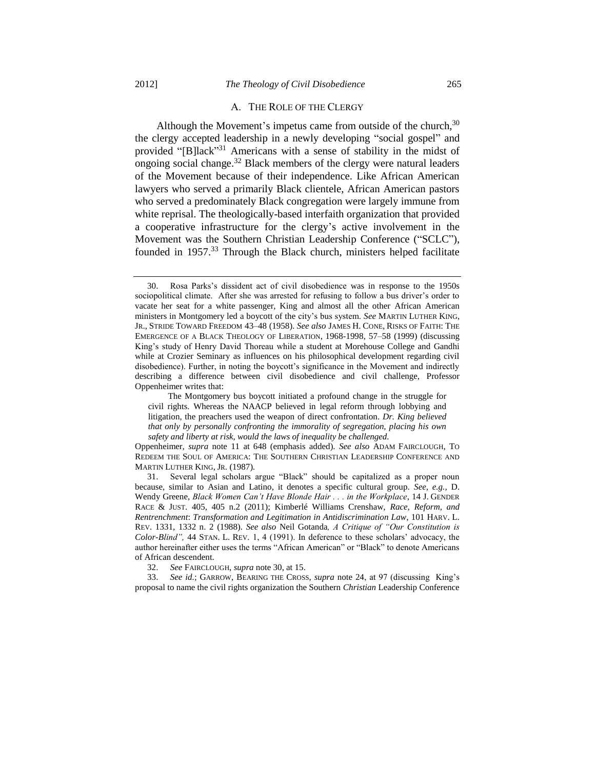#### <span id="page-10-0"></span>A. THE ROLE OF THE CLERGY

Although the Movement's impetus came from outside of the church,  $30$ the clergy accepted leadership in a newly developing "social gospel" and provided "[B]lack"<sup>31</sup> Americans with a sense of stability in the midst of ongoing social change.<sup>32</sup> Black members of the clergy were natural leaders of the Movement because of their independence. Like African American lawyers who served a primarily Black clientele, African American pastors who served a predominately Black congregation were largely immune from white reprisal. The theologically-based interfaith organization that provided a cooperative infrastructure for the clergy's active involvement in the Movement was the Southern Christian Leadership Conference ("SCLC"), founded in 1957.<sup>33</sup> Through the Black church, ministers helped facilitate

32. *See* FAIRCLOUGH, *supra* not[e 30,](#page-10-0) at 15.

33. *See id.*; GARROW, BEARING THE CROSS, *supra* note [24,](#page-7-0) at 97 (discussing King's proposal to name the civil rights organization the Southern *Christian* Leadership Conference

<sup>30.</sup> Rosa Parks's dissident act of civil disobedience was in response to the 1950s sociopolitical climate. After she was arrested for refusing to follow a bus driver's order to vacate her seat for a white passenger, King and almost all the other African American ministers in Montgomery led a boycott of the city's bus system. *See* MARTIN LUTHER KING, JR., STRIDE TOWARD FREEDOM 43–48 (1958). *See also* JAMES H. CONE, RISKS OF FAITH: THE EMERGENCE OF A BLACK THEOLOGY OF LIBERATION, 1968-1998, 57–58 (1999) (discussing King's study of Henry David Thoreau while a student at Morehouse College and Gandhi while at Crozier Seminary as influences on his philosophical development regarding civil disobedience). Further, in noting the boycott's significance in the Movement and indirectly describing a difference between civil disobedience and civil challenge, Professor Oppenheimer writes that:

The Montgomery bus boycott initiated a profound change in the struggle for civil rights. Whereas the NAACP believed in legal reform through lobbying and litigation, the preachers used the weapon of direct confrontation. *Dr. King believed that only by personally confronting the immorality of segregation, placing his own safety and liberty at risk, would the laws of inequality be challenged.*

Oppenheimer, *supra* note [11](#page-5-0) at 648 (emphasis added). *See also* ADAM FAIRCLOUGH, TO REDEEM THE SOUL OF AMERICA: THE SOUTHERN CHRISTIAN LEADERSHIP CONFERENCE AND MARTIN LUTHER KING, JR. (1987).

<sup>31.</sup> Several legal scholars argue "Black" should be capitalized as a proper noun because, similar to Asian and Latino, it denotes a specific cultural group. *See, e.g.,* D. Wendy Greene, *Black Women Can't Have Blonde Hair . . . in the Workplace*, 14 J. GENDER RACE & JUST. 405, 405 n.2 (2011); Kimberlé Williams Crenshaw, *Race, Reform, and Rentrenchment*: *Transformation and Legitimation in Antidiscrimination Law*, 101 HARV. L. REV. 1331, 1332 n. 2 (1988). *See also* Neil Gotanda*, A Critique of "Our Constitution is Color-Blind",* 44 STAN. L. REV. 1, 4 (1991). In deference to these scholars' advocacy, the author hereinafter either uses the terms "African American" or "Black" to denote Americans of African descendent.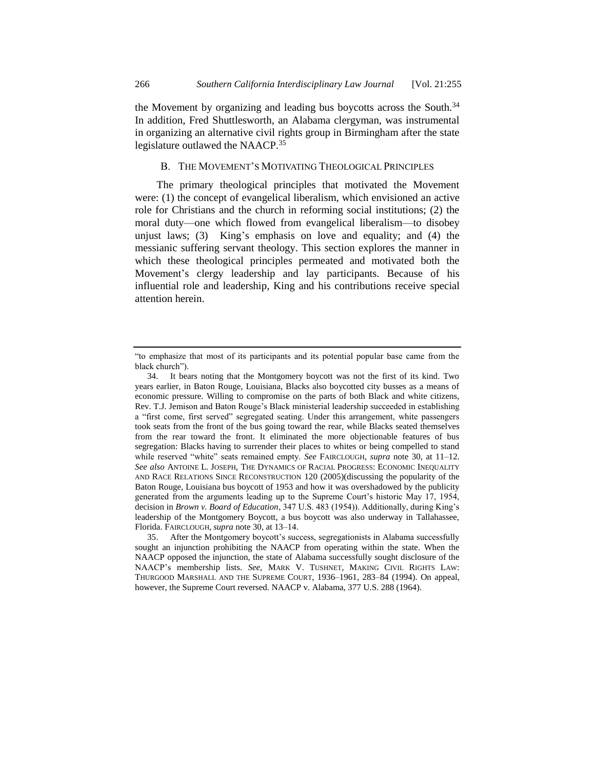the Movement by organizing and leading bus boycotts across the South.<sup>34</sup> In addition, Fred Shuttlesworth, an Alabama clergyman, was instrumental in organizing an alternative civil rights group in Birmingham after the state legislature outlawed the NAACP.<sup>35</sup>

# <span id="page-11-0"></span>B. THE MOVEMENT'S MOTIVATING THEOLOGICAL PRINCIPLES

The primary theological principles that motivated the Movement were: (1) the concept of evangelical liberalism, which envisioned an active role for Christians and the church in reforming social institutions; (2) the moral duty—one which flowed from evangelical liberalism—to disobey unjust laws; (3) King's emphasis on love and equality; and (4) the messianic suffering servant theology. This section explores the manner in which these theological principles permeated and motivated both the Movement's clergy leadership and lay participants. Because of his influential role and leadership, King and his contributions receive special attention herein.

<sup>&</sup>quot;to emphasize that most of its participants and its potential popular base came from the black church").

<sup>34.</sup> It bears noting that the Montgomery boycott was not the first of its kind. Two years earlier, in Baton Rouge, Louisiana, Blacks also boycotted city busses as a means of economic pressure. Willing to compromise on the parts of both Black and white citizens, Rev. T.J. Jemison and Baton Rouge's Black ministerial leadership succeeded in establishing a "first come, first served" segregated seating. Under this arrangement, white passengers took seats from the front of the bus going toward the rear, while Blacks seated themselves from the rear toward the front. It eliminated the more objectionable features of bus segregation: Blacks having to surrender their places to whites or being compelled to stand while reserved "white" seats remained empty. *See* FAIRCLOUGH, *supra* note [30,](#page-10-0) at 11–12. *See also* ANTOINE L. JOSEPH, THE DYNAMICS OF RACIAL PROGRESS: ECONOMIC INEQUALITY AND RACE RELATIONS SINCE RECONSTRUCTION 120 (2005)(discussing the popularity of the Baton Rouge, Louisiana bus boycott of 1953 and how it was overshadowed by the publicity generated from the arguments leading up to the Supreme Court's historic May 17, 1954, decision in *Brown v. Board of Education*, 347 U.S. 483 (1954)). Additionally, during King's leadership of the Montgomery Boycott, a bus boycott was also underway in Tallahassee, Florida. FAIRCLOUGH, *supra* not[e 30,](#page-10-0) at 13–14.

<sup>35.</sup> After the Montgomery boycott's success, segregationists in Alabama successfully sought an injunction prohibiting the NAACP from operating within the state. When the NAACP opposed the injunction, the state of Alabama successfully sought disclosure of the NAACP's membership lists. *See,* MARK V. TUSHNET, MAKING CIVIL RIGHTS LAW: THURGOOD MARSHALL AND THE SUPREME COURT, 1936–1961, 283–84 (1994). On appeal, however, the Supreme Court reversed. NAACP v. Alabama, 377 U.S. 288 (1964).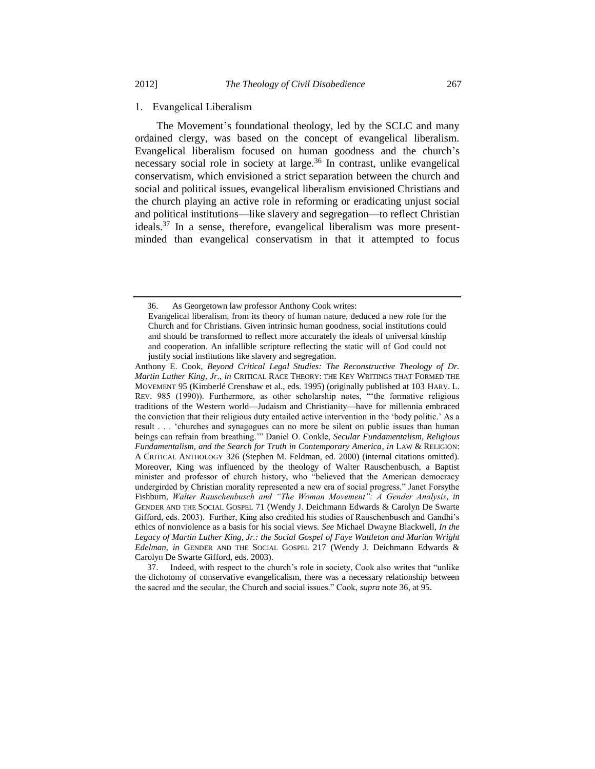#### 1. Evangelical Liberalism

<span id="page-12-0"></span>The Movement's foundational theology, led by the SCLC and many ordained clergy, was based on the concept of evangelical liberalism. Evangelical liberalism focused on human goodness and the church's necessary social role in society at large.<sup>36</sup> In contrast, unlike evangelical conservatism, which envisioned a strict separation between the church and social and political issues, evangelical liberalism envisioned Christians and the church playing an active role in reforming or eradicating unjust social and political institutions—like slavery and segregation—to reflect Christian ideals.<sup>37</sup> In a sense, therefore, evangelical liberalism was more presentminded than evangelical conservatism in that it attempted to focus

<sup>36.</sup> As Georgetown law professor Anthony Cook writes:

Evangelical liberalism, from its theory of human nature, deduced a new role for the Church and for Christians. Given intrinsic human goodness, social institutions could and should be transformed to reflect more accurately the ideals of universal kinship and cooperation. An infallible scripture reflecting the static will of God could not justify social institutions like slavery and segregation.

Anthony E. Cook, *Beyond Critical Legal Studies: The Reconstructive Theology of Dr. Martin Luther King, Jr*., *in* CRITICAL RACE THEORY: THE KEY WRITINGS THAT FORMED THE MOVEMENT 95 (Kimberlé Crenshaw et al., eds. 1995) (originally published at 103 HARV. L. REV. 985 (1990)). Furthermore, as other scholarship notes, "'the formative religious traditions of the Western world—Judaism and Christianity—have for millennia embraced the conviction that their religious duty entailed active intervention in the 'body politic.' As a result . . . 'churches and synagogues can no more be silent on public issues than human beings can refrain from breathing.'" Daniel O. Conkle, *Secular Fundamentalism, Religious Fundamentalism, and the Search for Truth in Contemporary America*, *in* LAW & RELIGION: A CRITICAL ANTHOLOGY 326 (Stephen M. Feldman, ed. 2000) (internal citations omitted). Moreover, King was influenced by the theology of Walter Rauschenbusch, a Baptist minister and professor of church history, who "believed that the American democracy undergirded by Christian morality represented a new era of social progress." Janet Forsythe Fishburn, *Walter Rauschenbusch and "The Woman Movement": A Gender Analysis*, *in*  GENDER AND THE SOCIAL GOSPEL 71 (Wendy J. Deichmann Edwards & Carolyn De Swarte Gifford, eds. 2003). Further, King also credited his studies of Rauschenbusch and Gandhi's ethics of nonviolence as a basis for his social views. *See* Michael Dwayne Blackwell, *In the Legacy of Martin Luther King, Jr.: the Social Gospel of Faye Wattleton and Marian Wright Edelman*, *in* GENDER AND THE SOCIAL GOSPEL 217 (Wendy J. Deichmann Edwards & Carolyn De Swarte Gifford, eds. 2003).

<sup>37.</sup> Indeed, with respect to the church's role in society, Cook also writes that "unlike the dichotomy of conservative evangelicalism, there was a necessary relationship between the sacred and the secular, the Church and social issues." Cook, *supra* note [36,](#page-12-0) at 95.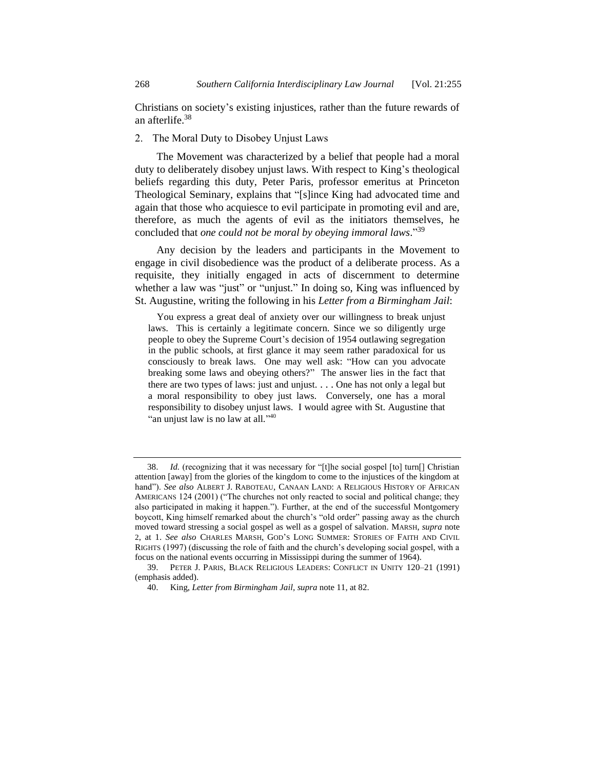<span id="page-13-1"></span>Christians on society's existing injustices, rather than the future rewards of an afterlife.<sup>38</sup>

# 2. The Moral Duty to Disobey Unjust Laws

The Movement was characterized by a belief that people had a moral duty to deliberately disobey unjust laws. With respect to King's theological beliefs regarding this duty, Peter Paris, professor emeritus at Princeton Theological Seminary, explains that "[s]ince King had advocated time and again that those who acquiesce to evil participate in promoting evil and are, therefore, as much the agents of evil as the initiators themselves, he concluded that *one could not be moral by obeying immoral laws*." 39

<span id="page-13-0"></span>Any decision by the leaders and participants in the Movement to engage in civil disobedience was the product of a deliberate process. As a requisite, they initially engaged in acts of discernment to determine whether a law was "just" or "unjust." In doing so, King was influenced by St. Augustine, writing the following in his *Letter from a Birmingham Jail*:

You express a great deal of anxiety over our willingness to break unjust laws. This is certainly a legitimate concern. Since we so diligently urge people to obey the Supreme Court's decision of 1954 outlawing segregation in the public schools, at first glance it may seem rather paradoxical for us consciously to break laws. One may well ask: "How can you advocate breaking some laws and obeying others?" The answer lies in the fact that there are two types of laws: just and unjust. . . . One has not only a legal but a moral responsibility to obey just laws. Conversely, one has a moral responsibility to disobey unjust laws. I would agree with St. Augustine that "an unjust law is no law at all."<sup>40</sup>

<sup>38.</sup> *Id.* (recognizing that it was necessary for "[t]he social gospel [to] turn[] Christian attention [away] from the glories of the kingdom to come to the injustices of the kingdom at hand"). *See also* ALBERT J. RABOTEAU, CANAAN LAND: A RELIGIOUS HISTORY OF AFRICAN AMERICANS 124 (2001) ("The churches not only reacted to social and political change; they also participated in making it happen."). Further, at the end of the successful Montgomery boycott, King himself remarked about the church's "old order" passing away as the church moved toward stressing a social gospel as well as a gospel of salvation. MARSH, *supra* note [2](#page-2-0), at 1. *See also* CHARLES MARSH, GOD'S LONG SUMMER: STORIES OF FAITH AND CIVIL RIGHTS (1997) (discussing the role of faith and the church's developing social gospel, with a focus on the national events occurring in Mississippi during the summer of 1964).

<sup>39.</sup> PETER J. PARIS, BLACK RELIGIOUS LEADERS: CONFLICT IN UNITY 120–21 (1991) (emphasis added).

<sup>40.</sup> King, *Letter from Birmingham Jail, supra* not[e 11,](#page-5-0) at 82.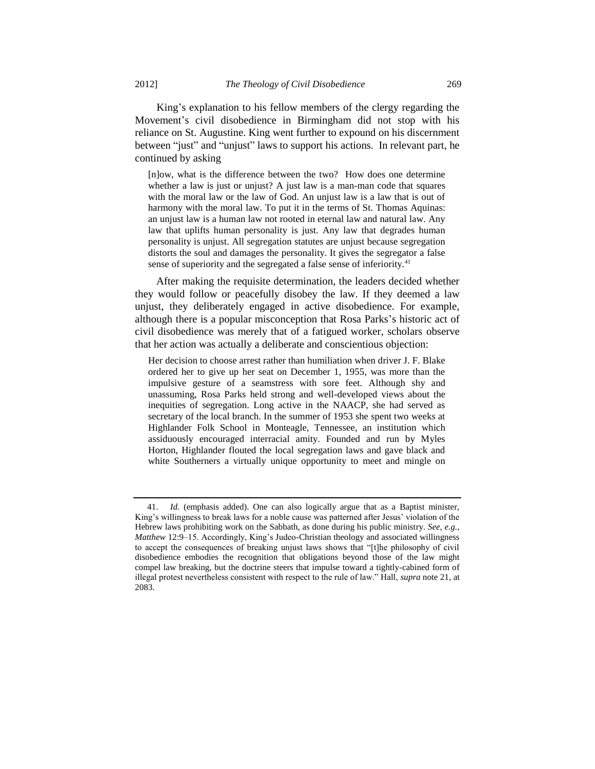King's explanation to his fellow members of the clergy regarding the Movement's civil disobedience in Birmingham did not stop with his reliance on St. Augustine. King went further to expound on his discernment between "just" and "unjust" laws to support his actions. In relevant part, he continued by asking

[n]ow, what is the difference between the two? How does one determine whether a law is just or unjust? A just law is a man-man code that squares with the moral law or the law of God. An unjust law is a law that is out of harmony with the moral law. To put it in the terms of St. Thomas Aquinas: an unjust law is a human law not rooted in eternal law and natural law. Any law that uplifts human personality is just. Any law that degrades human personality is unjust. All segregation statutes are unjust because segregation distorts the soul and damages the personality. It gives the segregator a false sense of superiority and the segregated a false sense of inferiority.<sup>41</sup>

After making the requisite determination, the leaders decided whether they would follow or peacefully disobey the law. If they deemed a law unjust, they deliberately engaged in active disobedience. For example, although there is a popular misconception that Rosa Parks's historic act of civil disobedience was merely that of a fatigued worker, scholars observe that her action was actually a deliberate and conscientious objection:

Her decision to choose arrest rather than humiliation when driver J. F. Blake ordered her to give up her seat on December 1, 1955, was more than the impulsive gesture of a seamstress with sore feet. Although shy and unassuming, Rosa Parks held strong and well-developed views about the inequities of segregation. Long active in the NAACP, she had served as secretary of the local branch. In the summer of 1953 she spent two weeks at Highlander Folk School in Monteagle, Tennessee, an institution which assiduously encouraged interracial amity. Founded and run by Myles Horton, Highlander flouted the local segregation laws and gave black and white Southerners a virtually unique opportunity to meet and mingle on

<sup>41.</sup> *Id.* (emphasis added). One can also logically argue that as a Baptist minister, King's willingness to break laws for a noble cause was patterned after Jesus' violation of the Hebrew laws prohibiting work on the Sabbath, as done during his public ministry. *See, e.g.*, *Matthew* 12:9–15. Accordingly, King's Judeo-Christian theology and associated willingness to accept the consequences of breaking unjust laws shows that "[t]he philosophy of civil disobedience embodies the recognition that obligations beyond those of the law might compel law breaking, but the doctrine steers that impulse toward a tightly-cabined form of illegal protest nevertheless consistent with respect to the rule of law." Hall, *supra* note [21,](#page-7-1) at 2083.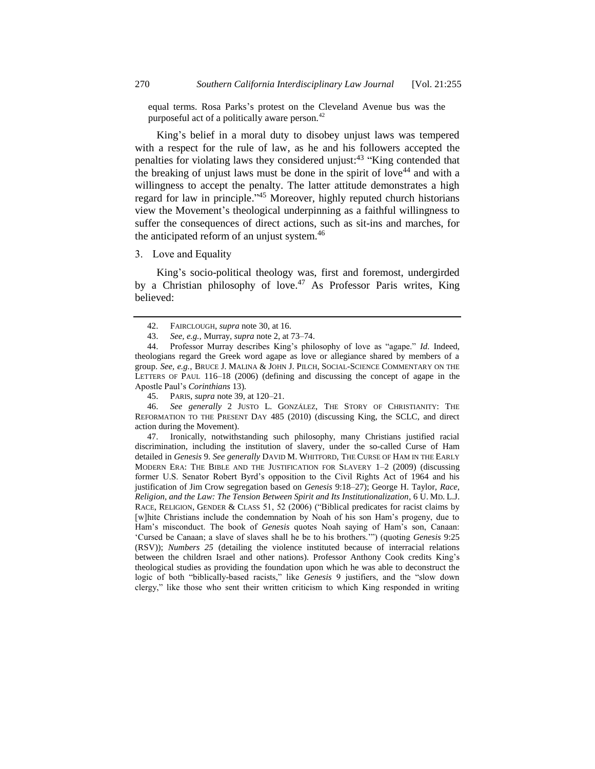<span id="page-15-1"></span>equal terms. Rosa Parks's protest on the Cleveland Avenue bus was the purposeful act of a politically aware person.<sup>42</sup>

King's belief in a moral duty to disobey unjust laws was tempered with a respect for the rule of law, as he and his followers accepted the penalties for violating laws they considered unjust:<sup>43</sup> "King contended that the breaking of unjust laws must be done in the spirit of love<sup>44</sup> and with a willingness to accept the penalty. The latter attitude demonstrates a high regard for law in principle."<sup>45</sup> Moreover, highly reputed church historians view the Movement's theological underpinning as a faithful willingness to suffer the consequences of direct actions, such as sit-ins and marches, for the anticipated reform of an unjust system.<sup>46</sup>

<span id="page-15-0"></span>3. Love and Equality

King's socio-political theology was, first and foremost, undergirded by a Christian philosophy of love.<sup>47</sup> As Professor Paris writes, King believed:

46. *See generally* 2 JUSTO L. GONZÁLEZ, THE STORY OF CHRISTIANITY: THE REFORMATION TO THE PRESENT DAY 485 (2010) (discussing King, the SCLC, and direct action during the Movement).

47. Ironically, notwithstanding such philosophy, many Christians justified racial discrimination, including the institution of slavery, under the so-called Curse of Ham detailed in *Genesis* 9. *See generally* DAVID M. WHITFORD, THE CURSE OF HAM IN THE EARLY MODERN ERA: THE BIBLE AND THE JUSTIFICATION FOR SLAVERY 1–2 (2009) (discussing former U.S. Senator Robert Byrd's opposition to the Civil Rights Act of 1964 and his justification of Jim Crow segregation based on *Genesis* 9:18–27); George H. Taylor, *Race, Religion, and the Law: The Tension Between Spirit and Its Institutionalization*, 6 U. MD. L.J. RACE, RELIGION, GENDER & CLASS 51, 52 (2006) ("Biblical predicates for racist claims by [w]hite Christians include the condemnation by Noah of his son Ham's progeny, due to Ham's misconduct. The book of *Genesis* quotes Noah saying of Ham's son, Canaan: 'Cursed be Canaan; a slave of slaves shall he be to his brothers.'") (quoting *Genesis* 9:25 (RSV)); *Numbers 25* (detailing the violence instituted because of interracial relations between the children Israel and other nations). Professor Anthony Cook credits King's theological studies as providing the foundation upon which he was able to deconstruct the logic of both "biblically-based racists," like *Genesis* 9 justifiers, and the "slow down clergy," like those who sent their written criticism to which King responded in writing

<sup>42.</sup> FAIRCLOUGH, *supra* not[e 30,](#page-10-0) at 16.

<sup>43.</sup> *See, e.g.,* Murray, *supra* not[e 2,](#page-2-0) at 73–74.

<sup>44.</sup> Professor Murray describes King's philosophy of love as "agape." *Id.* Indeed, theologians regard the Greek word agape as love or allegiance shared by members of a group. *See, e.g.*, BRUCE J. MALINA & JOHN J. PILCH, SOCIAL-SCIENCE COMMENTARY ON THE LETTERS OF PAUL 116–18 (2006) (defining and discussing the concept of agape in the Apostle Paul's *Corinthians* 13).

<sup>45.</sup> PARIS, *supra* note [39,](#page-13-0) at 120–21.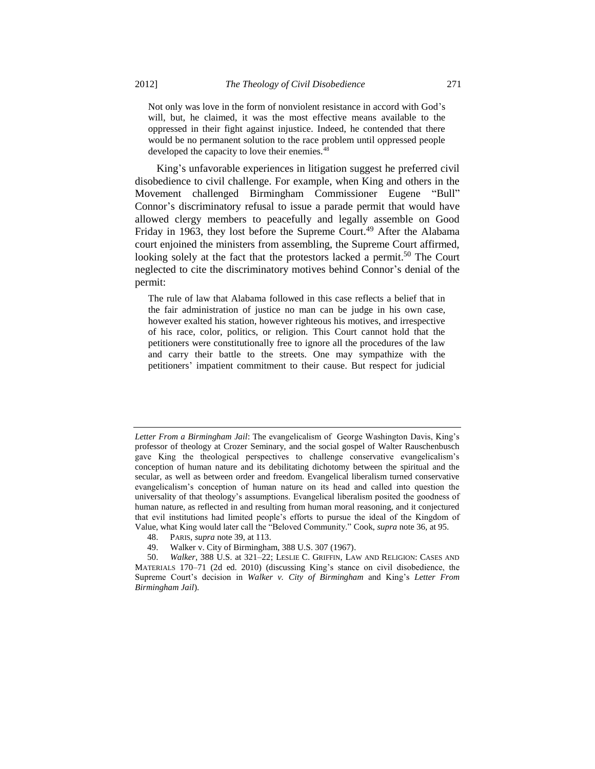Not only was love in the form of nonviolent resistance in accord with God's will, but, he claimed, it was the most effective means available to the oppressed in their fight against injustice. Indeed, he contended that there would be no permanent solution to the race problem until oppressed people developed the capacity to love their enemies.<sup>48</sup>

King's unfavorable experiences in litigation suggest he preferred civil disobedience to civil challenge. For example, when King and others in the Movement challenged Birmingham Commissioner Eugene "Bull" Connor's discriminatory refusal to issue a parade permit that would have allowed clergy members to peacefully and legally assemble on Good Friday in 1963, they lost before the Supreme Court.<sup>49</sup> After the Alabama court enjoined the ministers from assembling, the Supreme Court affirmed, looking solely at the fact that the protestors lacked a permit.<sup>50</sup> The Court neglected to cite the discriminatory motives behind Connor's denial of the permit:

<span id="page-16-0"></span>The rule of law that Alabama followed in this case reflects a belief that in the fair administration of justice no man can be judge in his own case, however exalted his station, however righteous his motives, and irrespective of his race, color, politics, or religion. This Court cannot hold that the petitioners were constitutionally free to ignore all the procedures of the law and carry their battle to the streets. One may sympathize with the petitioners' impatient commitment to their cause. But respect for judicial

*Letter From a Birmingham Jail*: The evangelicalism of George Washington Davis, King's professor of theology at Crozer Seminary, and the social gospel of Walter Rauschenbusch gave King the theological perspectives to challenge conservative evangelicalism's conception of human nature and its debilitating dichotomy between the spiritual and the secular, as well as between order and freedom. Evangelical liberalism turned conservative evangelicalism's conception of human nature on its head and called into question the universality of that theology's assumptions. Evangelical liberalism posited the goodness of human nature, as reflected in and resulting from human moral reasoning, and it conjectured that evil institutions had limited people's efforts to pursue the ideal of the Kingdom of Value, what King would later call the "Beloved Community." Cook, *supra* not[e 36,](#page-12-0) at 95.

<sup>48.</sup> PARIS, *supra* note [39,](#page-13-0) at 113.

<sup>49.</sup> Walker v. City of Birmingham, 388 U.S. 307 (1967).

<sup>50.</sup> *Walker*, 388 U.S. at 321–22; LESLIE C. GRIFFIN, LAW AND RELIGION: CASES AND MATERIALS 170–71 (2d ed. 2010) (discussing King's stance on civil disobedience, the Supreme Court's decision in *Walker v. City of Birmingham* and King's *Letter From Birmingham Jail*).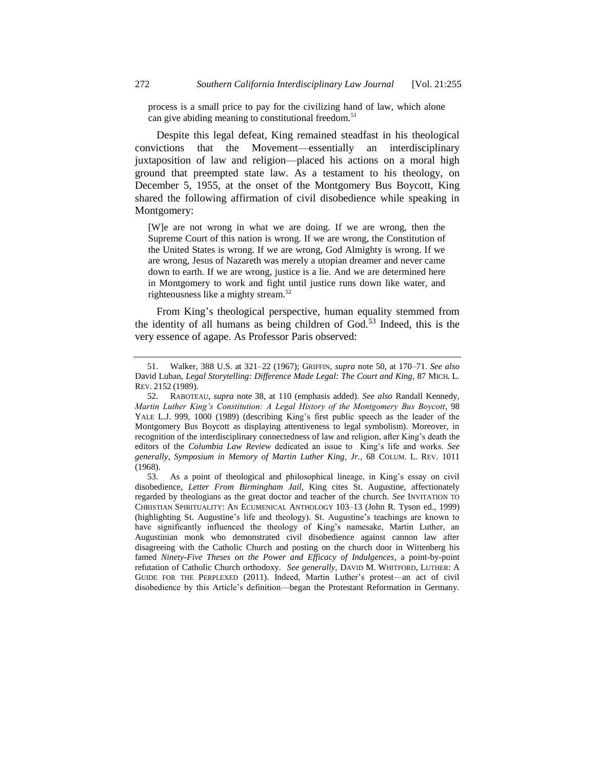process is a small price to pay for the civilizing hand of law, which alone can give abiding meaning to constitutional freedom.<sup>51</sup>

Despite this legal defeat, King remained steadfast in his theological convictions that the Movement—essentially an interdisciplinary juxtaposition of law and religion—placed his actions on a moral high ground that preempted state law. As a testament to his theology, on December 5, 1955, at the onset of the Montgomery Bus Boycott, King shared the following affirmation of civil disobedience while speaking in Montgomery:

[W]e are not wrong in what we are doing. If we are wrong, then the Supreme Court of this nation is wrong. If we are wrong, the Constitution of the United States is wrong. If we are wrong, God Almighty is wrong. If we are wrong, Jesus of Nazareth was merely a utopian dreamer and never came down to earth. If we are wrong, justice is a lie. And we are determined here in Montgomery to work and fight until justice runs down like water, and righteousness like a mighty stream.<sup>52</sup>

<span id="page-17-0"></span>From King's theological perspective, human equality stemmed from the identity of all humans as being children of  $Good.<sup>53</sup>$  Indeed, this is the very essence of agape. As Professor Paris observed:

<sup>51.</sup> Walker, 388 U.S. at 321–22 (1967); GRIFFIN, *supra* note [50,](#page-16-0) at 170–71. *See also*  David Luban, *Legal Storytelling: Difference Made Legal: The Court and King*, 87 MICH. L. REV. 2152 (1989).

<sup>52.</sup> RABOTEAU, *supra* note [38,](#page-13-1) at 110 (emphasis added). *See also* Randall Kennedy, *Martin Luther King's Constitution: A Legal History of the Montgomery Bus Boycott*, 98 YALE L.J. 999, 1000 (1989) (describing King's first public speech as the leader of the Montgomery Bus Boycott as displaying attentiveness to legal symbolism). Moreover, in recognition of the interdisciplinary connectedness of law and religion, after King's death the editors of the *Columbia Law Review* dedicated an issue to King's life and works. *See generally*, *Symposium in Memory of Martin Luther King, Jr.*, 68 COLUM. L. REV. 1011 (1968).

<sup>53.</sup> As a point of theological and philosophical lineage, in King's essay on civil disobedience, *Letter From Birmingham Jail*, King cites St. Augustine, affectionately regarded by theologians as the great doctor and teacher of the church. *See* INVITATION TO CHRISTIAN SPIRITUALITY: AN ECUMENICAL ANTHOLOGY 103–13 (John R. Tyson ed., 1999) (highlighting St. Augustine's life and theology). St. Augustine's teachings are known to have significantly influenced the theology of King's namesake, Martin Luther, an Augustinian monk who demonstrated civil disobedience against cannon law after disagreeing with the Catholic Church and posting on the church door in Wittenberg his famed *Ninety-Five Theses on the Power and Efficacy of Indulgences*, a point-by-point refutation of Catholic Church orthodoxy. *See generally,* DAVID M. WHITFORD, LUTHER: A GUIDE FOR THE PERPLEXED (2011). Indeed, Martin Luther's protest—an act of civil disobedience by this Article's definition—began the Protestant Reformation in Germany.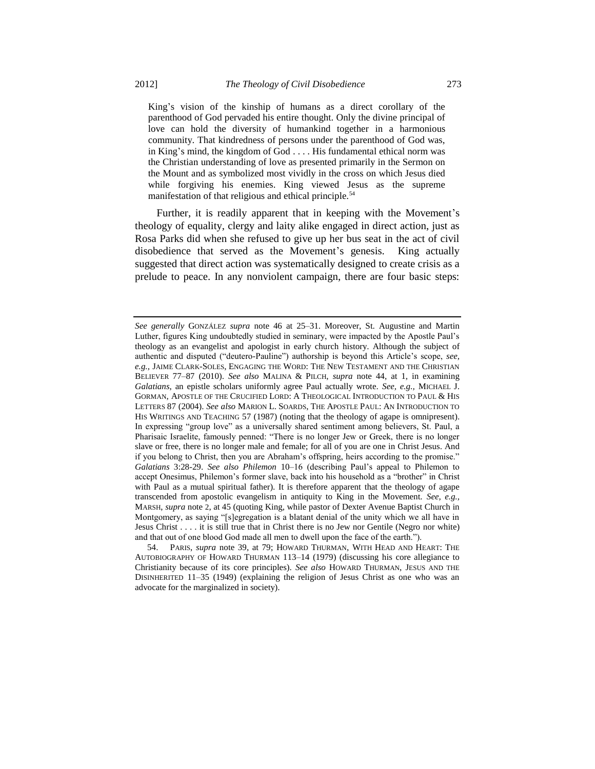King's vision of the kinship of humans as a direct corollary of the parenthood of God pervaded his entire thought. Only the divine principal of love can hold the diversity of humankind together in a harmonious community. That kindredness of persons under the parenthood of God was, in King's mind, the kingdom of God . . . . His fundamental ethical norm was the Christian understanding of love as presented primarily in the Sermon on the Mount and as symbolized most vividly in the cross on which Jesus died while forgiving his enemies. King viewed Jesus as the supreme manifestation of that religious and ethical principle.<sup>54</sup>

Further, it is readily apparent that in keeping with the Movement's theology of equality, clergy and laity alike engaged in direct action, just as Rosa Parks did when she refused to give up her bus seat in the act of civil disobedience that served as the Movement's genesis. King actually suggested that direct action was systematically designed to create crisis as a prelude to peace. In any nonviolent campaign, there are four basic steps:

54. PARIS, *supra* note [39,](#page-13-0) at 79; HOWARD THURMAN, WITH HEAD AND HEART: THE AUTOBIOGRAPHY OF HOWARD THURMAN 113–14 (1979) (discussing his core allegiance to Christianity because of its core principles). *See also* HOWARD THURMAN, JESUS AND THE DISINHERITED 11–35 (1949) (explaining the religion of Jesus Christ as one who was an advocate for the marginalized in society).

*See generally* GONZÁLEZ *supra* note [46](#page-15-0) at 25–31. Moreover, St. Augustine and Martin Luther, figures King undoubtedly studied in seminary, were impacted by the Apostle Paul's theology as an evangelist and apologist in early church history. Although the subject of authentic and disputed ("deutero-Pauline") authorship is beyond this Article's scope, *see, e.g.,* JAIME CLARK-SOLES, ENGAGING THE WORD: THE NEW TESTAMENT AND THE CHRISTIAN BELIEVER 77–87 (2010). *See also* MALINA & PILCH, *supra* note [44,](#page-15-1) at 1, in examining *Galatians*, an epistle scholars uniformly agree Paul actually wrote. *See, e.g.,* MICHAEL J. GORMAN, APOSTLE OF THE CRUCIFIED LORD: A THEOLOGICAL INTRODUCTION TO PAUL & HIS LETTERS 87 (2004). *See also* MARION L. SOARDS, THE APOSTLE PAUL: AN INTRODUCTION TO HIS WRITINGS AND TEACHING 57 (1987) (noting that the theology of agape is omnipresent). In expressing "group love" as a universally shared sentiment among believers, St. Paul, a Pharisaic Israelite, famously penned: "There is no longer Jew or Greek, there is no longer slave or free, there is no longer male and female; for all of you are one in Christ Jesus. And if you belong to Christ, then you are Abraham's offspring, heirs according to the promise." *Galatians* 3:28-29. *See also Philemon* 10–16 (describing Paul's appeal to Philemon to accept Onesimus, Philemon's former slave, back into his household as a "brother" in Christ with Paul as a mutual spiritual father). It is therefore apparent that the theology of agape transcended from apostolic evangelism in antiquity to King in the Movement. *See, e.g.,*  MARSH, *supra* note [2](#page-2-0), at 45 (quoting King, while pastor of Dexter Avenue Baptist Church in Montgomery, as saying "[s]egregation is a blatant denial of the unity which we all have in Jesus Christ . . . . it is still true that in Christ there is no Jew nor Gentile (Negro nor white) and that out of one blood God made all men to dwell upon the face of the earth.").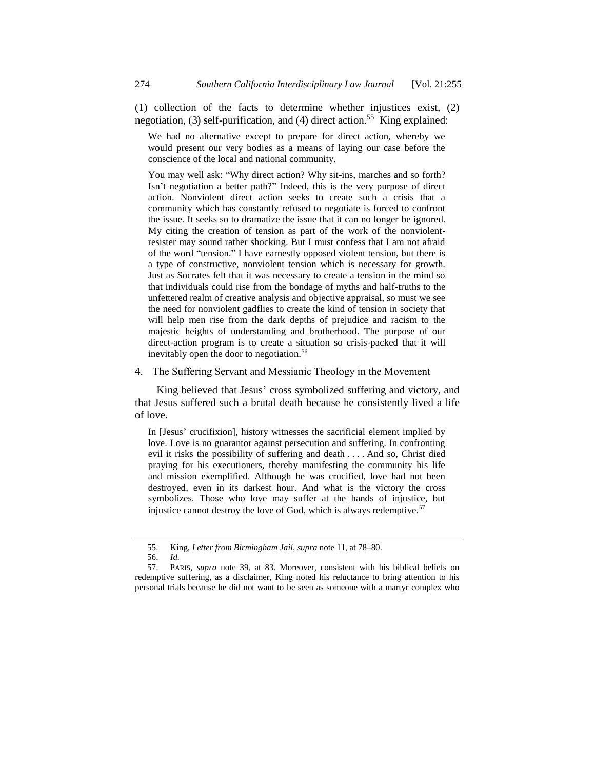(1) collection of the facts to determine whether injustices exist, (2) negotiation, (3) self-purification, and (4) direct action.<sup>55</sup> King explained:

We had no alternative except to prepare for direct action, whereby we would present our very bodies as a means of laying our case before the conscience of the local and national community.

You may well ask: "Why direct action? Why sit-ins, marches and so forth? Isn't negotiation a better path?" Indeed, this is the very purpose of direct action. Nonviolent direct action seeks to create such a crisis that a community which has constantly refused to negotiate is forced to confront the issue. It seeks so to dramatize the issue that it can no longer be ignored. My citing the creation of tension as part of the work of the nonviolentresister may sound rather shocking. But I must confess that I am not afraid of the word "tension." I have earnestly opposed violent tension, but there is a type of constructive, nonviolent tension which is necessary for growth. Just as Socrates felt that it was necessary to create a tension in the mind so that individuals could rise from the bondage of myths and half-truths to the unfettered realm of creative analysis and objective appraisal, so must we see the need for nonviolent gadflies to create the kind of tension in society that will help men rise from the dark depths of prejudice and racism to the majestic heights of understanding and brotherhood. The purpose of our direct-action program is to create a situation so crisis-packed that it will inevitably open the door to negotiation.<sup>56</sup>

4. The Suffering Servant and Messianic Theology in the Movement

King believed that Jesus' cross symbolized suffering and victory, and that Jesus suffered such a brutal death because he consistently lived a life of love.

In [Jesus' crucifixion], history witnesses the sacrificial element implied by love. Love is no guarantor against persecution and suffering. In confronting evil it risks the possibility of suffering and death . . . . And so, Christ died praying for his executioners, thereby manifesting the community his life and mission exemplified. Although he was crucified, love had not been destroyed, even in its darkest hour. And what is the victory the cross symbolizes. Those who love may suffer at the hands of injustice, but injustice cannot destroy the love of God, which is always redemptive.<sup>57</sup>

<sup>55.</sup> King, *Letter from Birmingham Jail*, *supra* not[e 11](#page-5-0), at 78–80.

<sup>56.</sup> *Id.*

<sup>57.</sup> PARIS, *supra* note [39,](#page-13-0) at 83. Moreover, consistent with his biblical beliefs on redemptive suffering, as a disclaimer, King noted his reluctance to bring attention to his personal trials because he did not want to be seen as someone with a martyr complex who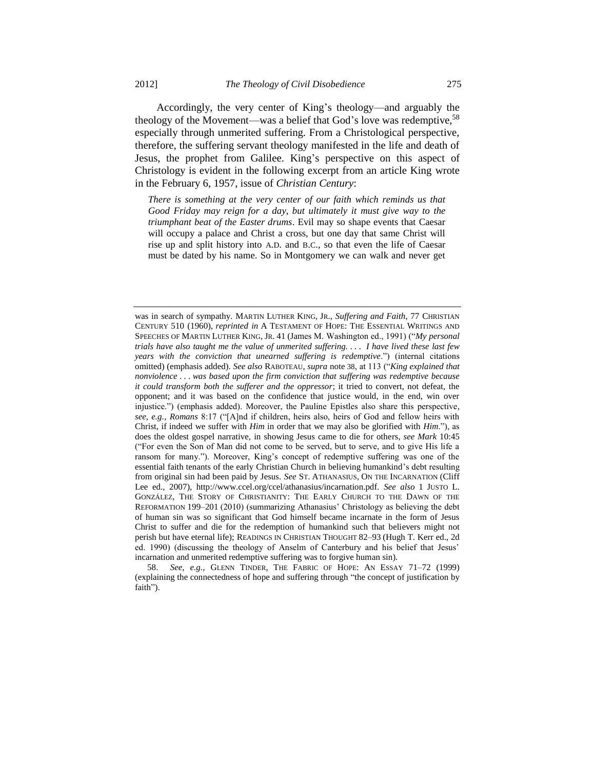Accordingly, the very center of King's theology—and arguably the theology of the Movement—was a belief that God's love was redemptive,  $58$ especially through unmerited suffering. From a Christological perspective, therefore, the suffering servant theology manifested in the life and death of Jesus, the prophet from Galilee. King's perspective on this aspect of Christology is evident in the following excerpt from an article King wrote in the February 6, 1957, issue of *Christian Century*:

*There is something at the very center of our faith which reminds us that Good Friday may reign for a day, but ultimately it must give way to the triumphant beat of the Easter drums*. Evil may so shape events that Caesar will occupy a palace and Christ a cross, but one day that same Christ will rise up and split history into A.D. and B.C., so that even the life of Caesar must be dated by his name. So in Montgomery we can walk and never get

58. *See, e.g.,* GLENN TINDER, THE FABRIC OF HOPE: AN ESSAY 71–72 (1999) (explaining the connectedness of hope and suffering through "the concept of justification by faith").

was in search of sympathy. MARTIN LUTHER KING, JR., *Suffering and Faith*, 77 CHRISTIAN CENTURY 510 (1960), *reprinted in* A TESTAMENT OF HOPE: THE ESSENTIAL WRITINGS AND SPEECHES OF MARTIN LUTHER KING, JR. 41 (James M. Washington ed., 1991) ("*My personal trials have also taught me the value of unmerited suffering. . . . I have lived these last few years with the conviction that unearned suffering is redemptive*.") (internal citations omitted) (emphasis added). *See also* RABOTEAU, *supra* note [38](#page-13-1), at 113 ("*King explained that nonviolence* . . . *was based upon the firm conviction that suffering was redemptive because it could transform both the sufferer and the oppressor*; it tried to convert, not defeat, the opponent; and it was based on the confidence that justice would, in the end, win over injustice.") (emphasis added). Moreover, the Pauline Epistles also share this perspective, *see, e.g.*, *Romans* 8:17 ("[A]nd if children, heirs also, heirs of God and fellow heirs with Christ, if indeed we suffer with *Him* in order that we may also be glorified with *Him*."), as does the oldest gospel narrative, in showing Jesus came to die for others, *see Mark* 10:45 ("For even the Son of Man did not come to be served, but to serve, and to give His life a ransom for many."). Moreover, King's concept of redemptive suffering was one of the essential faith tenants of the early Christian Church in believing humankind's debt resulting from original sin had been paid by Jesus. *See* ST. ATHANASIUS, ON THE INCARNATION (Cliff Lee ed., 2007), http://www.ccel.org/ccel/athanasius/incarnation.pdf. *See also* 1 JUSTO L. GONZÁLEZ, THE STORY OF CHRISTIANITY: THE EARLY CHURCH TO THE DAWN OF THE REFORMATION 199–201 (2010) (summarizing Athanasius' Christology as believing the debt of human sin was so significant that God himself became incarnate in the form of Jesus Christ to suffer and die for the redemption of humankind such that believers might not perish but have eternal life); READINGS IN CHRISTIAN THOUGHT 82–93 (Hugh T. Kerr ed., 2d ed. 1990) (discussing the theology of Anselm of Canterbury and his belief that Jesus' incarnation and unmerited redemptive suffering was to forgive human sin).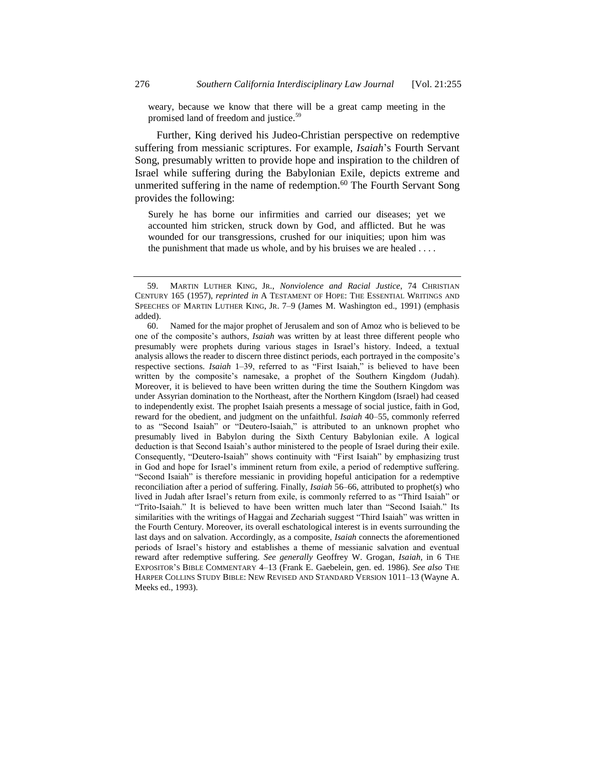weary, because we know that there will be a great camp meeting in the promised land of freedom and justice.<sup>59</sup>

Further, King derived his Judeo-Christian perspective on redemptive suffering from messianic scriptures. For example, *Isaiah*'s Fourth Servant Song, presumably written to provide hope and inspiration to the children of Israel while suffering during the Babylonian Exile, depicts extreme and unmerited suffering in the name of redemption.<sup>60</sup> The Fourth Servant Song provides the following:

Surely he has borne our infirmities and carried our diseases; yet we accounted him stricken, struck down by God, and afflicted. But he was wounded for our transgressions, crushed for our iniquities; upon him was the punishment that made us whole, and by his bruises we are healed . . . .

<sup>59.</sup> MARTIN LUTHER KING, JR., *Nonviolence and Racial Justice*, 74 CHRISTIAN CENTURY 165 (1957), *reprinted in* A TESTAMENT OF HOPE: THE ESSENTIAL WRITINGS AND SPEECHES OF MARTIN LUTHER KING, JR. 7–9 (James M. Washington ed., 1991) (emphasis added).

<sup>60.</sup> Named for the major prophet of Jerusalem and son of Amoz who is believed to be one of the composite's authors, *Isaiah* was written by at least three different people who presumably were prophets during various stages in Israel's history. Indeed, a textual analysis allows the reader to discern three distinct periods, each portrayed in the composite's respective sections. *Isaiah* 1–39, referred to as "First Isaiah," is believed to have been written by the composite's namesake, a prophet of the Southern Kingdom (Judah). Moreover, it is believed to have been written during the time the Southern Kingdom was under Assyrian domination to the Northeast, after the Northern Kingdom (Israel) had ceased to independently exist. The prophet Isaiah presents a message of social justice, faith in God, reward for the obedient, and judgment on the unfaithful. *Isaiah* 40–55, commonly referred to as "Second Isaiah" or "Deutero-Isaiah," is attributed to an unknown prophet who presumably lived in Babylon during the Sixth Century Babylonian exile. A logical deduction is that Second Isaiah's author ministered to the people of Israel during their exile. Consequently, "Deutero-Isaiah" shows continuity with "First Isaiah" by emphasizing trust in God and hope for Israel's imminent return from exile, a period of redemptive suffering. "Second Isaiah" is therefore messianic in providing hopeful anticipation for a redemptive reconciliation after a period of suffering. Finally, *Isaiah* 56–66, attributed to prophet(s) who lived in Judah after Israel's return from exile, is commonly referred to as "Third Isaiah" or "Trito-Isaiah." It is believed to have been written much later than "Second Isaiah." Its similarities with the writings of Haggai and Zechariah suggest "Third Isaiah" was written in the Fourth Century. Moreover, its overall eschatological interest is in events surrounding the last days and on salvation. Accordingly, as a composite, *Isaiah* connects the aforementioned periods of Israel's history and establishes a theme of messianic salvation and eventual reward after redemptive suffering. *See generally* Geoffrey W. Grogan, *Isaiah*, in 6 THE EXPOSITOR'S BIBLE COMMENTARY 4–13 (Frank E. Gaebelein, gen. ed. 1986). *See also* THE HARPER COLLINS STUDY BIBLE: NEW REVISED AND STANDARD VERSION 1011–13 (Wayne A. Meeks ed., 1993).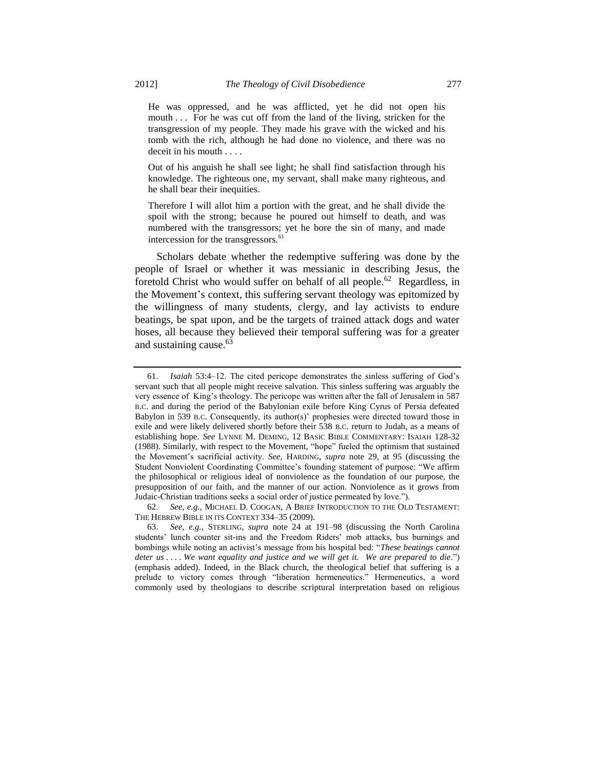He was oppressed, and he was afflicted, yet he did not open his mouth . . . For he was cut off from the land of the living, stricken for the transgression of my people. They made his grave with the wicked and his tomb with the rich, although he had done no violence, and there was no deceit in his mouth . . . .

Out of his anguish he shall see light; he shall find satisfaction through his knowledge. The righteous one, my servant, shall make many righteous, and he shall bear their inequities.

Therefore I will allot him a portion with the great, and he shall divide the spoil with the strong; because he poured out himself to death, and was numbered with the transgressors; yet he bore the sin of many, and made intercession for the transgressors.<sup>61</sup>

Scholars debate whether the redemptive suffering was done by the people of Israel or whether it was messianic in describing Jesus, the foretold Christ who would suffer on behalf of all people.<sup>62</sup> Regardless, in the Movement's context, this suffering servant theology was epitomized by the willingness of many students, clergy, and lay activists to endure beatings, be spat upon, and be the targets of trained attack dogs and water hoses, all because they believed their temporal suffering was for a greater and sustaining cause.<sup>63</sup>

62. *See, e.g.,* MICHAEL D. COOGAN, A BRIEF INTRODUCTION TO THE OLD TESTAMENT: THE HEBREW BIBLE IN ITS CONTEXT 334–35 (2009).

<sup>61.</sup> *Isaiah* 53:4–12. The cited pericope demonstrates the sinless suffering of God's servant such that all people might receive salvation. This sinless suffering was arguably the very essence of King's theology. The pericope was written after the fall of Jerusalem in 587 B.C. and during the period of the Babylonian exile before King Cyrus of Persia defeated Babylon in 539 B.C. Consequently, its author(s)' prophesies were directed toward those in exile and were likely delivered shortly before their 538 B.C. return to Judah, as a means of establishing hope. *See* LYNNE M. DEMING, 12 BASIC BIBLE COMMENTARY: ISAIAH 128-32 (1988). Similarly, with respect to the Movement, "hope" fueled the optimism that sustained the Movement's sacrificial activity. *See,* HARDING, *supra* note [29,](#page-9-1) at 95 (discussing the Student Nonviolent Coordinating Committee's founding statement of purpose: "We affirm the philosophical or religious ideal of nonviolence as the foundation of our purpose, the presupposition of our faith, and the manner of our action. Nonviolence as it grows from Judaic-Christian traditions seeks a social order of justice permeated by love.").

<sup>63.</sup> *See, e.g.,* STERLING, *supra* note [24](#page-7-0) at 191–98 (discussing the North Carolina students' lunch counter sit-ins and the Freedom Riders' mob attacks, bus burnings and bombings while noting an activist's message from his hospital bed: "*These beatings cannot deter us . . . . We want equality and justice and we will get it. We are prepared to die*.") (emphasis added). Indeed, in the Black church, the theological belief that suffering is a prelude to victory comes through "liberation hermeneutics." Hermeneutics, a word commonly used by theologians to describe scriptural interpretation based on religious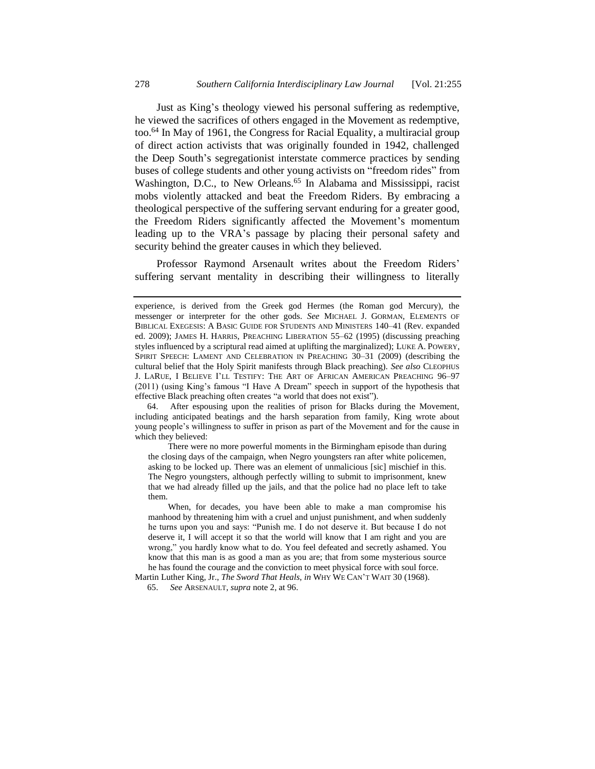Just as King's theology viewed his personal suffering as redemptive, he viewed the sacrifices of others engaged in the Movement as redemptive, too.<sup>64</sup> In May of 1961, the Congress for Racial Equality, a multiracial group of direct action activists that was originally founded in 1942, challenged the Deep South's segregationist interstate commerce practices by sending buses of college students and other young activists on "freedom rides" from Washington, D.C., to New Orleans.<sup>65</sup> In Alabama and Mississippi, racist mobs violently attacked and beat the Freedom Riders. By embracing a theological perspective of the suffering servant enduring for a greater good, the Freedom Riders significantly affected the Movement's momentum leading up to the VRA's passage by placing their personal safety and security behind the greater causes in which they believed.

Professor Raymond Arsenault writes about the Freedom Riders' suffering servant mentality in describing their willingness to literally

64. After espousing upon the realities of prison for Blacks during the Movement, including anticipated beatings and the harsh separation from family, King wrote about young people's willingness to suffer in prison as part of the Movement and for the cause in which they believed:

There were no more powerful moments in the Birmingham episode than during the closing days of the campaign, when Negro youngsters ran after white policemen, asking to be locked up. There was an element of unmalicious [sic] mischief in this. The Negro youngsters, although perfectly willing to submit to imprisonment, knew that we had already filled up the jails, and that the police had no place left to take them.

When, for decades, you have been able to make a man compromise his manhood by threatening him with a cruel and unjust punishment, and when suddenly he turns upon you and says: "Punish me. I do not deserve it. But because I do not deserve it, I will accept it so that the world will know that I am right and you are wrong," you hardly know what to do. You feel defeated and secretly ashamed. You know that this man is as good a man as you are; that from some mysterious source he has found the courage and the conviction to meet physical force with soul force.

Martin Luther King, Jr., *The Sword That Heals*, *in* WHY WE CAN'T WAIT 30 (1968).

65. *See* ARSENAULT, *supra* note [2,](#page-2-0) at 96.

experience, is derived from the Greek god Hermes (the Roman god Mercury), the messenger or interpreter for the other gods. *See* MICHAEL J. GORMAN, ELEMENTS OF BIBLICAL EXEGESIS: A BASIC GUIDE FOR STUDENTS AND MINISTERS 140–41 (Rev. expanded ed. 2009); JAMES H. HARRIS, PREACHING LIBERATION 55–62 (1995) (discussing preaching styles influenced by a scriptural read aimed at uplifting the marginalized); LUKE A. POWERY, SPIRIT SPEECH: LAMENT AND CELEBRATION IN PREACHING 30–31 (2009) (describing the cultural belief that the Holy Spirit manifests through Black preaching). *See also* CLEOPHUS J. LARUE, I BELIEVE I'LL TESTIFY: THE ART OF AFRICAN AMERICAN PREACHING 96–97 (2011) (using King's famous "I Have A Dream" speech in support of the hypothesis that effective Black preaching often creates "a world that does not exist").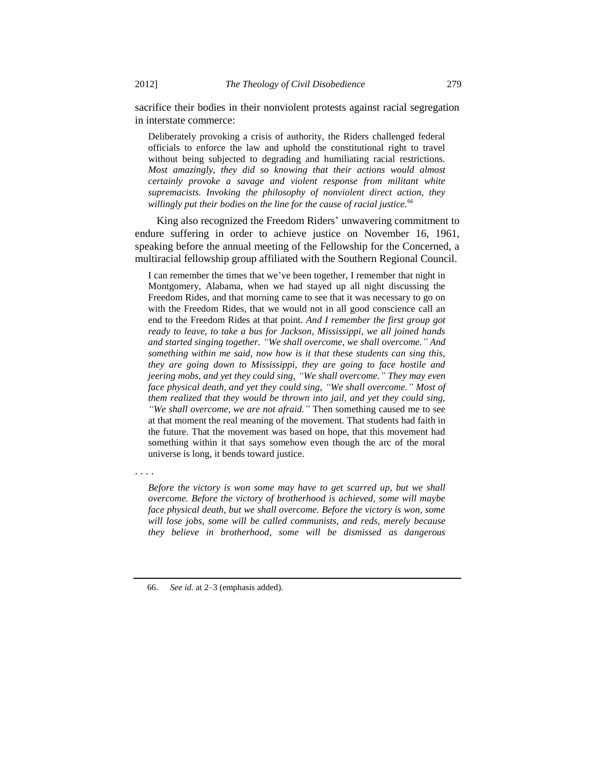sacrifice their bodies in their nonviolent protests against racial segregation in interstate commerce:

Deliberately provoking a crisis of authority, the Riders challenged federal officials to enforce the law and uphold the constitutional right to travel without being subjected to degrading and humiliating racial restrictions. *Most amazingly, they did so knowing that their actions would almost certainly provoke a savage and violent response from militant white supremacists. Invoking the philosophy of nonviolent direct action, they willingly put their bodies on the line for the cause of racial justice.*<sup>66</sup>

King also recognized the Freedom Riders' unwavering commitment to endure suffering in order to achieve justice on November 16, 1961, speaking before the annual meeting of the Fellowship for the Concerned, a multiracial fellowship group affiliated with the Southern Regional Council.

I can remember the times that we've been together, I remember that night in Montgomery, Alabama, when we had stayed up all night discussing the Freedom Rides, and that morning came to see that it was necessary to go on with the Freedom Rides, that we would not in all good conscience call an end to the Freedom Rides at that point. *And I remember the first group got ready to leave, to take a bus for Jackson, Mississippi, we all joined hands and started singing together. "We shall overcome, we shall overcome." And something within me said, now how is it that these students can sing this, they are going down to Mississippi, they are going to face hostile and jeering mobs, and yet they could sing, "We shall overcome." They may even face physical death, and yet they could sing, "We shall overcome." Most of them realized that they would be thrown into jail, and yet they could sing, "We shall overcome, we are not afraid."* Then something caused me to see at that moment the real meaning of the movement. That students had faith in the future. That the movement was based on hope, that this movement had something within it that says somehow even though the arc of the moral universe is long, it bends toward justice.

*Before the victory is won some may have to get scarred up, but we shall overcome. Before the victory of brotherhood is achieved, some will maybe face physical death, but we shall overcome. Before the victory is won, some will lose jobs, some will be called communists, and reds, merely because they believe in brotherhood, some will be dismissed as dangerous* 

. . . .

<sup>66.</sup> *See id.* at 2–3 (emphasis added).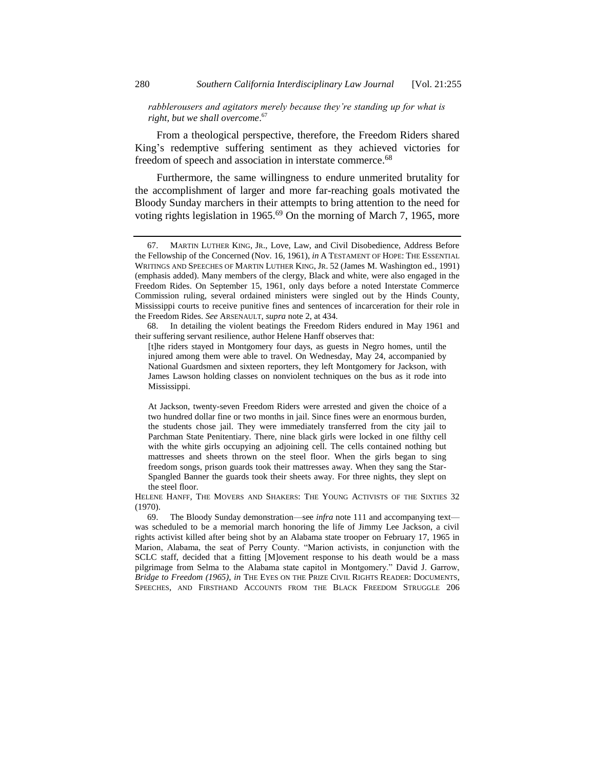*rabblerousers and agitators merely because they're standing up for what is right, but we shall overcome*. 67

From a theological perspective, therefore, the Freedom Riders shared King's redemptive suffering sentiment as they achieved victories for freedom of speech and association in interstate commerce.<sup>68</sup>

Furthermore, the same willingness to endure unmerited brutality for the accomplishment of larger and more far-reaching goals motivated the Bloody Sunday marchers in their attempts to bring attention to the need for voting rights legislation in 1965.<sup>69</sup> On the morning of March 7, 1965, more

68. In detailing the violent beatings the Freedom Riders endured in May 1961 and their suffering servant resilience, author Helene Hanff observes that:

<span id="page-25-0"></span><sup>67.</sup> MARTIN LUTHER KING, JR., Love, Law, and Civil Disobedience, Address Before the Fellowship of the Concerned (Nov. 16, 1961), *in* A TESTAMENT OF HOPE: THE ESSENTIAL WRITINGS AND SPEECHES OF MARTIN LUTHER KING, JR. 52 (James M. Washington ed., 1991) (emphasis added). Many members of the clergy, Black and white, were also engaged in the Freedom Rides. On September 15, 1961, only days before a noted Interstate Commerce Commission ruling, several ordained ministers were singled out by the Hinds County, Mississippi courts to receive punitive fines and sentences of incarceration for their role in the Freedom Rides. *See* ARSENAULT, *supra* not[e 2,](#page-2-0) at 434.

<sup>[</sup>t]he riders stayed in Montgomery four days, as guests in Negro homes, until the injured among them were able to travel. On Wednesday, May 24, accompanied by National Guardsmen and sixteen reporters, they left Montgomery for Jackson, with James Lawson holding classes on nonviolent techniques on the bus as it rode into Mississippi.

At Jackson, twenty-seven Freedom Riders were arrested and given the choice of a two hundred dollar fine or two months in jail. Since fines were an enormous burden, the students chose jail. They were immediately transferred from the city jail to Parchman State Penitentiary. There, nine black girls were locked in one filthy cell with the white girls occupying an adjoining cell. The cells contained nothing but mattresses and sheets thrown on the steel floor. When the girls began to sing freedom songs, prison guards took their mattresses away. When they sang the Star-Spangled Banner the guards took their sheets away. For three nights, they slept on the steel floor.

HELENE HANFF, THE MOVERS AND SHAKERS: THE YOUNG ACTIVISTS OF THE SIXTIES 32 (1970).

<sup>69.</sup> The Bloody Sunday demonstration—see *infra* not[e 111](#page-35-0) and accompanying text was scheduled to be a memorial march honoring the life of Jimmy Lee Jackson, a civil rights activist killed after being shot by an Alabama state trooper on February 17, 1965 in Marion, Alabama, the seat of Perry County. "Marion activists, in conjunction with the SCLC staff, decided that a fitting [M]ovement response to his death would be a mass pilgrimage from Selma to the Alabama state capitol in Montgomery." David J. Garrow, *Bridge to Freedom (1965)*, *in* THE EYES ON THE PRIZE CIVIL RIGHTS READER: DOCUMENTS, SPEECHES, AND FIRSTHAND ACCOUNTS FROM THE BLACK FREEDOM STRUGGLE 206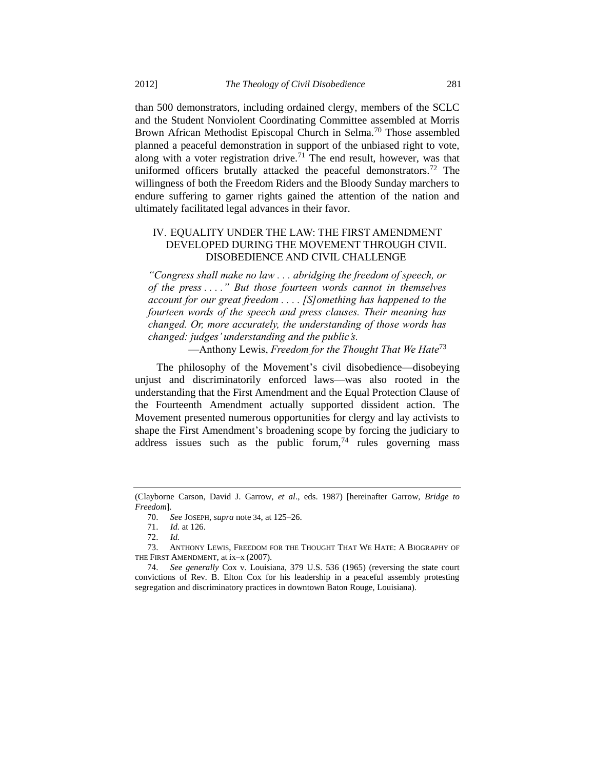than 500 demonstrators, including ordained clergy, members of the SCLC and the Student Nonviolent Coordinating Committee assembled at Morris Brown African Methodist Episcopal Church in Selma.<sup>70</sup> Those assembled planned a peaceful demonstration in support of the unbiased right to vote, along with a voter registration drive.<sup>71</sup> The end result, however, was that uniformed officers brutally attacked the peaceful demonstrators.<sup>72</sup> The willingness of both the Freedom Riders and the Bloody Sunday marchers to endure suffering to garner rights gained the attention of the nation and ultimately facilitated legal advances in their favor.

# IV. EQUALITY UNDER THE LAW: THE FIRST AMENDMENT DEVELOPED DURING THE MOVEMENT THROUGH CIVIL DISOBEDIENCE AND CIVIL CHALLENGE

*"Congress shall make no law . . . abridging the freedom of speech, or of the press . . . ." But those fourteen words cannot in themselves account for our great freedom . . . . [S]omething has happened to the fourteen words of the speech and press clauses. Their meaning has changed. Or, more accurately, the understanding of those words has changed: judges' understanding and the public's.*

—Anthony Lewis, *Freedom for the Thought That We Hate*<sup>73</sup>

The philosophy of the Movement's civil disobedience—disobeying unjust and discriminatorily enforced laws—was also rooted in the understanding that the First Amendment and the Equal Protection Clause of the Fourteenth Amendment actually supported dissident action. The Movement presented numerous opportunities for clergy and lay activists to shape the First Amendment's broadening scope by forcing the judiciary to address issues such as the public forum, $74$  rules governing mass

<sup>(</sup>Clayborne Carson, David J. Garrow, *et al*., eds. 1987) [hereinafter Garrow, *Bridge to Freedom*].

<sup>70.</sup> *See* JOSEPH, *supra* note [34](#page-11-0), at 125–26.

<sup>71.</sup> *Id.* at 126.

<sup>72.</sup> *Id.*

<sup>73.</sup> ANTHONY LEWIS, FREEDOM FOR THE THOUGHT THAT WE HATE: A BIOGRAPHY OF THE FIRST AMENDMENT, at ix–x (2007).

<sup>74.</sup> *See generally* Cox v. Louisiana, 379 U.S. 536 (1965) (reversing the state court convictions of Rev. B. Elton Cox for his leadership in a peaceful assembly protesting segregation and discriminatory practices in downtown Baton Rouge, Louisiana).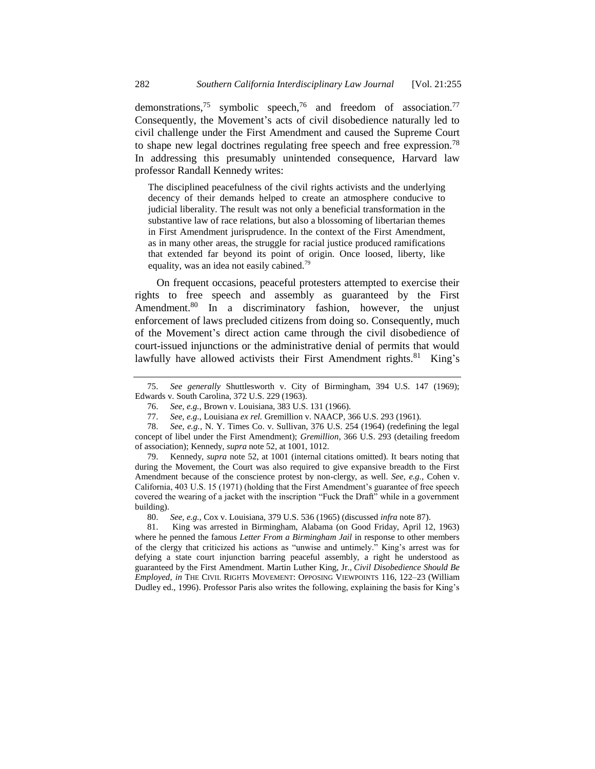demonstrations,<sup>75</sup> symbolic speech,<sup>76</sup> and freedom of association.<sup>77</sup> Consequently, the Movement's acts of civil disobedience naturally led to civil challenge under the First Amendment and caused the Supreme Court to shape new legal doctrines regulating free speech and free expression.<sup>78</sup> In addressing this presumably unintended consequence, Harvard law professor Randall Kennedy writes:

The disciplined peacefulness of the civil rights activists and the underlying decency of their demands helped to create an atmosphere conducive to judicial liberality. The result was not only a beneficial transformation in the substantive law of race relations, but also a blossoming of libertarian themes in First Amendment jurisprudence. In the context of the First Amendment, as in many other areas, the struggle for racial justice produced ramifications that extended far beyond its point of origin. Once loosed, liberty, like equality, was an idea not easily cabined.<sup>79</sup>

On frequent occasions, peaceful protesters attempted to exercise their rights to free speech and assembly as guaranteed by the First Amendment.<sup>80</sup> In a discriminatory fashion, however, the unjust enforcement of laws precluded citizens from doing so. Consequently, much of the Movement's direct action came through the civil disobedience of court-issued injunctions or the administrative denial of permits that would lawfully have allowed activists their First Amendment rights.<sup>81</sup> King's

79. Kennedy, *supra* note [52,](#page-17-0) at 1001 (internal citations omitted). It bears noting that during the Movement, the Court was also required to give expansive breadth to the First Amendment because of the conscience protest by non-clergy, as well. *See, e.g.,* Cohen v. California, 403 U.S. 15 (1971) (holding that the First Amendment's guarantee of free speech covered the wearing of a jacket with the inscription "Fuck the Draft" while in a government building).

81. King was arrested in Birmingham, Alabama (on Good Friday, April 12, 1963) where he penned the famous *Letter From a Birmingham Jail* in response to other members of the clergy that criticized his actions as "unwise and untimely." King's arrest was for defying a state court injunction barring peaceful assembly, a right he understood as guaranteed by the First Amendment. Martin Luther King, Jr., *Civil Disobedience Should Be Employed*, *in* THE CIVIL RIGHTS MOVEMENT: OPPOSING VIEWPOINTS 116, 122–23 (William Dudley ed., 1996). Professor Paris also writes the following, explaining the basis for King's

<sup>75.</sup> *See generally* Shuttlesworth v. City of Birmingham, 394 U.S. 147 (1969); Edwards v. South Carolina, 372 U.S. 229 (1963).

<sup>76.</sup> *See, e.g.*, Brown v. Louisiana, 383 U.S. 131 (1966).

<sup>77.</sup> *See, e.g.*, Louisiana *ex rel.* Gremillion v. NAACP, 366 U.S. 293 (1961).

<sup>78.</sup> *See, e.g.*, N. Y. Times Co. v. Sullivan, 376 U.S. 254 (1964) (redefining the legal concept of libel under the First Amendment); *Gremillion*, 366 U.S. 293 (detailing freedom of association); Kennedy, *supra* note [52,](#page-17-0) at 1001, 1012.

<sup>80.</sup> *See, e.g.*, Cox v. Louisiana, 379 U.S. 536 (1965) (discussed *infra* not[e 87\)](#page-30-0).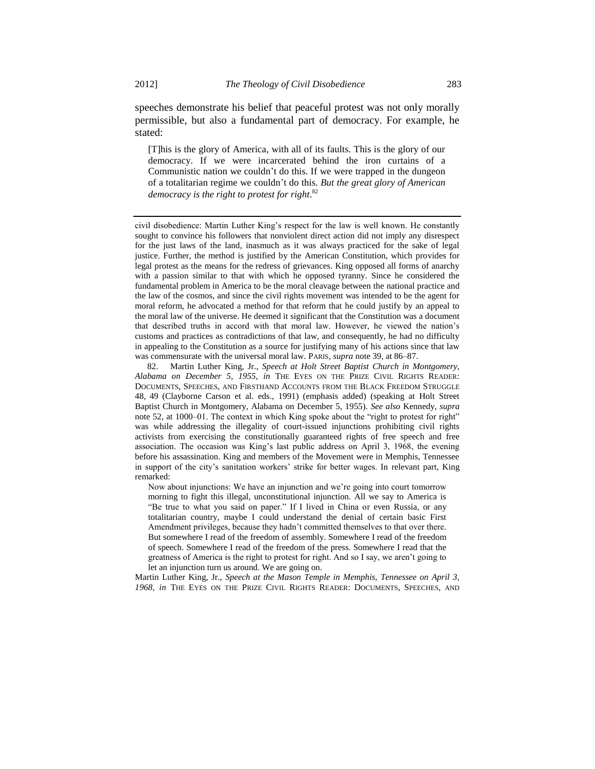speeches demonstrate his belief that peaceful protest was not only morally permissible, but also a fundamental part of democracy. For example, he stated:

[T]his is the glory of America, with all of its faults. This is the glory of our democracy. If we were incarcerated behind the iron curtains of a Communistic nation we couldn't do this. If we were trapped in the dungeon of a totalitarian regime we couldn't do this. *But the great glory of American democracy is the right to protest for right*. 82

civil disobedience: Martin Luther King's respect for the law is well known. He constantly sought to convince his followers that nonviolent direct action did not imply any disrespect for the just laws of the land, inasmuch as it was always practiced for the sake of legal justice. Further, the method is justified by the American Constitution, which provides for legal protest as the means for the redress of grievances. King opposed all forms of anarchy with a passion similar to that with which he opposed tyranny. Since he considered the fundamental problem in America to be the moral cleavage between the national practice and the law of the cosmos, and since the civil rights movement was intended to be the agent for moral reform, he advocated a method for that reform that he could justify by an appeal to the moral law of the universe. He deemed it significant that the Constitution was a document that described truths in accord with that moral law. However, he viewed the nation's customs and practices as contradictions of that law, and consequently, he had no difficulty in appealing to the Constitution as a source for justifying many of his actions since that law was commensurate with the universal moral law. PARIS, *supra* not[e 39,](#page-13-0) at 86–87.

82. Martin Luther King, Jr., *Speech at Holt Street Baptist Church in Montgomery, Alabama on December 5, 1955*, *in* THE EYES ON THE PRIZE CIVIL RIGHTS READER: DOCUMENTS, SPEECHES, AND FIRSTHAND ACCOUNTS FROM THE BLACK FREEDOM STRUGGLE 48, 49 (Clayborne Carson et al. eds., 1991) (emphasis added) (speaking at Holt Street Baptist Church in Montgomery, Alabama on December 5, 1955). *See also* Kennedy, *supra*  note [52,](#page-17-0) at 1000–01. The context in which King spoke about the "right to protest for right" was while addressing the illegality of court-issued injunctions prohibiting civil rights activists from exercising the constitutionally guaranteed rights of free speech and free association. The occasion was King's last public address on April 3, 1968, the evening before his assassination. King and members of the Movement were in Memphis, Tennessee in support of the city's sanitation workers' strike for better wages. In relevant part, King remarked:

Now about injunctions: We have an injunction and we're going into court tomorrow morning to fight this illegal, unconstitutional injunction. All we say to America is "Be true to what you said on paper." If I lived in China or even Russia, or any totalitarian country, maybe I could understand the denial of certain basic First Amendment privileges, because they hadn't committed themselves to that over there. But somewhere I read of the freedom of assembly. Somewhere I read of the freedom of speech. Somewhere I read of the freedom of the press. Somewhere I read that the greatness of America is the right to protest for right. And so I say, we aren't going to let an injunction turn us around. We are going on.

Martin Luther King, Jr., *Speech at the Mason Temple in Memphis, Tennessee on April 3, 1968*, *in* THE EYES ON THE PRIZE CIVIL RIGHTS READER: DOCUMENTS, SPEECHES, AND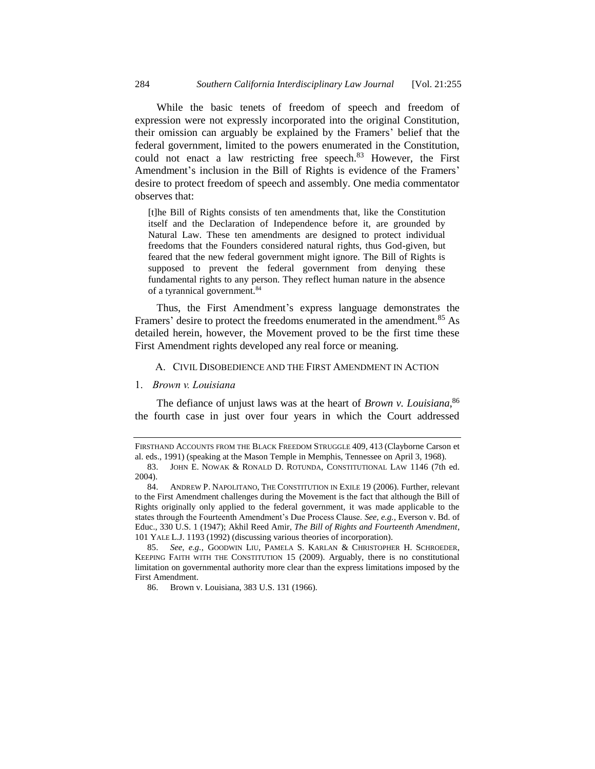While the basic tenets of freedom of speech and freedom of expression were not expressly incorporated into the original Constitution, their omission can arguably be explained by the Framers' belief that the federal government, limited to the powers enumerated in the Constitution, could not enact a law restricting free speech. $83$  However, the First Amendment's inclusion in the Bill of Rights is evidence of the Framers' desire to protect freedom of speech and assembly. One media commentator observes that:

[t]he Bill of Rights consists of ten amendments that, like the Constitution itself and the Declaration of Independence before it, are grounded by Natural Law. These ten amendments are designed to protect individual freedoms that the Founders considered natural rights, thus God-given, but feared that the new federal government might ignore. The Bill of Rights is supposed to prevent the federal government from denying these fundamental rights to any person. They reflect human nature in the absence of a tyrannical government.<sup>84</sup>

Thus, the First Amendment's express language demonstrates the Framers' desire to protect the freedoms enumerated in the amendment.<sup>85</sup> As detailed herein, however, the Movement proved to be the first time these First Amendment rights developed any real force or meaning.

#### <span id="page-29-0"></span>A. CIVIL DISOBEDIENCE AND THE FIRST AMENDMENT IN ACTION

## 1. *Brown v. Louisiana*

The defiance of unjust laws was at the heart of *Brown v. Louisiana,*<sup>86</sup> the fourth case in just over four years in which the Court addressed

FIRSTHAND ACCOUNTS FROM THE BLACK FREEDOM STRUGGLE 409, 413 (Clayborne Carson et al. eds., 1991) (speaking at the Mason Temple in Memphis, Tennessee on April 3, 1968).

<sup>83.</sup> JOHN E. NOWAK & RONALD D. ROTUNDA, CONSTITUTIONAL LAW 1146 (7th ed. 2004).

<sup>84.</sup> ANDREW P. NAPOLITANO, THE CONSTITUTION IN EXILE 19 (2006). Further, relevant to the First Amendment challenges during the Movement is the fact that although the Bill of Rights originally only applied to the federal government, it was made applicable to the states through the Fourteenth Amendment's Due Process Clause. *See, e.g.*, Everson v. Bd. of Educ., 330 U.S. 1 (1947); Akhil Reed Amir, *The Bill of Rights and Fourteenth Amendment*, 101 YALE L.J. 1193 (1992) (discussing various theories of incorporation).

<sup>85.</sup> *See, e.g.*, GOODWIN LIU, PAMELA S. KARLAN & CHRISTOPHER H. SCHROEDER, KEEPING FAITH WITH THE CONSTITUTION 15 (2009). Arguably, there is no constitutional limitation on governmental authority more clear than the express limitations imposed by the First Amendment.

<sup>86.</sup> Brown v. Louisiana, 383 U.S. 131 (1966).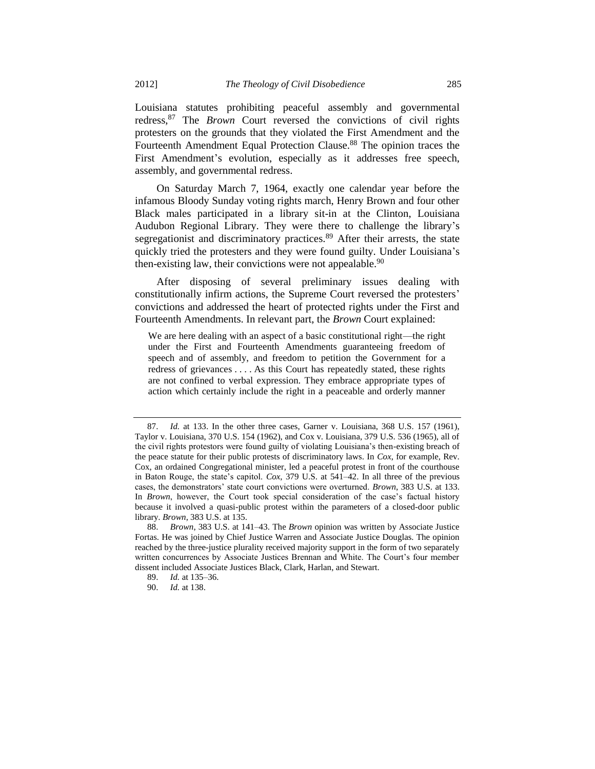<span id="page-30-0"></span>Louisiana statutes prohibiting peaceful assembly and governmental redress,<sup>87</sup> The *Brown* Court reversed the convictions of civil rights protesters on the grounds that they violated the First Amendment and the Fourteenth Amendment Equal Protection Clause.<sup>88</sup> The opinion traces the First Amendment's evolution, especially as it addresses free speech, assembly, and governmental redress.

On Saturday March 7, 1964, exactly one calendar year before the infamous Bloody Sunday voting rights march, Henry Brown and four other Black males participated in a library sit-in at the Clinton, Louisiana Audubon Regional Library. They were there to challenge the library's segregationist and discriminatory practices.<sup>89</sup> After their arrests, the state quickly tried the protesters and they were found guilty. Under Louisiana's then-existing law, their convictions were not appealable.  $90$ 

After disposing of several preliminary issues dealing with constitutionally infirm actions, the Supreme Court reversed the protesters' convictions and addressed the heart of protected rights under the First and Fourteenth Amendments. In relevant part, the *Brown* Court explained:

We are here dealing with an aspect of a basic constitutional right—the right under the First and Fourteenth Amendments guaranteeing freedom of speech and of assembly, and freedom to petition the Government for a redress of grievances . . . . As this Court has repeatedly stated, these rights are not confined to verbal expression. They embrace appropriate types of action which certainly include the right in a peaceable and orderly manner

<sup>87.</sup> *Id.* at 133. In the other three cases, Garner v. Louisiana, 368 U.S. 157 (1961), Taylor v. Louisiana, 370 U.S. 154 (1962), and Cox v. Louisiana, 379 U.S. 536 (1965), all of the civil rights protestors were found guilty of violating Louisiana's then-existing breach of the peace statute for their public protests of discriminatory laws. In *Cox*, for example, Rev. Cox, an ordained Congregational minister, led a peaceful protest in front of the courthouse in Baton Rouge, the state's capitol. *Cox*, 379 U.S. at 541–42. In all three of the previous cases, the demonstrators' state court convictions were overturned. *Brown*, 383 U.S. at 133. In *Brown*, however, the Court took special consideration of the case's factual history because it involved a quasi-public protest within the parameters of a closed-door public library. *Brown*, 383 U.S. at 135.

<sup>88.</sup> *Brown*, 383 U.S. at 141–43. The *Brown* opinion was written by Associate Justice Fortas. He was joined by Chief Justice Warren and Associate Justice Douglas. The opinion reached by the three-justice plurality received majority support in the form of two separately written concurrences by Associate Justices Brennan and White. The Court's four member dissent included Associate Justices Black, Clark, Harlan, and Stewart.

<sup>89.</sup> *Id.* at 135–36.

<sup>90.</sup> *Id.* at 138.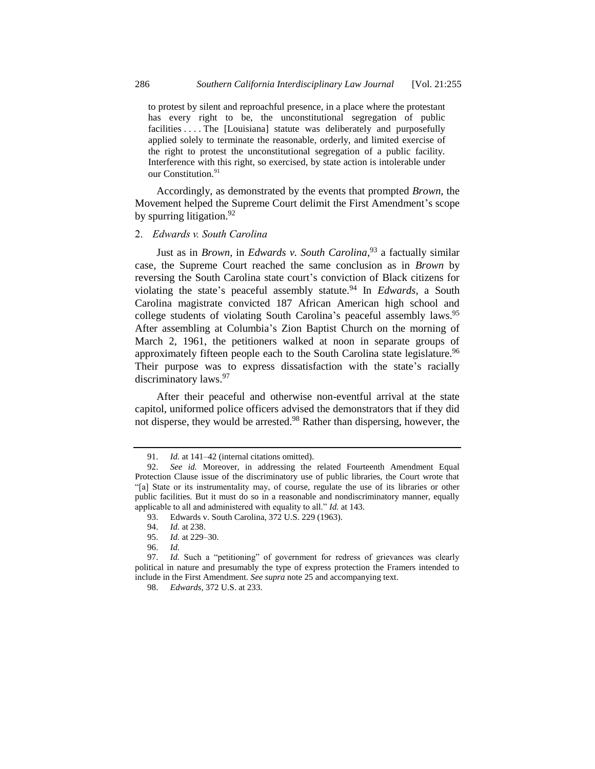to protest by silent and reproachful presence, in a place where the protestant has every right to be, the unconstitutional segregation of public facilities . . . . The [Louisiana] statute was deliberately and purposefully applied solely to terminate the reasonable, orderly, and limited exercise of the right to protest the unconstitutional segregation of a public facility. Interference with this right, so exercised, by state action is intolerable under our Constitution.<sup>91</sup>

Accordingly, as demonstrated by the events that prompted *Brown*, the Movement helped the Supreme Court delimit the First Amendment's scope by spurring litigation.<sup>92</sup>

#### 2. *Edwards v. South Carolina*

Just as in *Brown*, in *Edwards v. South Carolina*, <sup>93</sup> a factually similar case, the Supreme Court reached the same conclusion as in *Brown* by reversing the South Carolina state court's conviction of Black citizens for violating the state's peaceful assembly statute.<sup>94</sup> In *Edwards*, a South Carolina magistrate convicted 187 African American high school and college students of violating South Carolina's peaceful assembly laws.<sup>95</sup> After assembling at Columbia's Zion Baptist Church on the morning of March 2, 1961, the petitioners walked at noon in separate groups of approximately fifteen people each to the South Carolina state legislature.<sup>96</sup> Their purpose was to express dissatisfaction with the state's racially discriminatory laws.<sup>97</sup>

After their peaceful and otherwise non-eventful arrival at the state capitol, uniformed police officers advised the demonstrators that if they did not disperse, they would be arrested.<sup>98</sup> Rather than dispersing, however, the

<sup>91.</sup> *Id.* at 141–42 (internal citations omitted).

<sup>92.</sup> *See id.* Moreover, in addressing the related Fourteenth Amendment Equal Protection Clause issue of the discriminatory use of public libraries, the Court wrote that "[a] State or its instrumentality may, of course, regulate the use of its libraries or other public facilities. But it must do so in a reasonable and nondiscriminatory manner, equally applicable to all and administered with equality to all." *Id.* at 143.

<sup>93.</sup> Edwards v. South Carolina, 372 U.S. 229 (1963).

<sup>94.</sup> *Id.* at 238.

<sup>95.</sup> *Id.* at 229–30.

<sup>96.</sup> *Id.*

<sup>97.</sup> *Id.* Such a "petitioning" of government for redress of grievances was clearly political in nature and presumably the type of express protection the Framers intended to include in the First Amendment. *See supra* not[e 25](#page-8-0) and accompanying text.

<sup>98.</sup> *Edwards*, 372 U.S. at 233.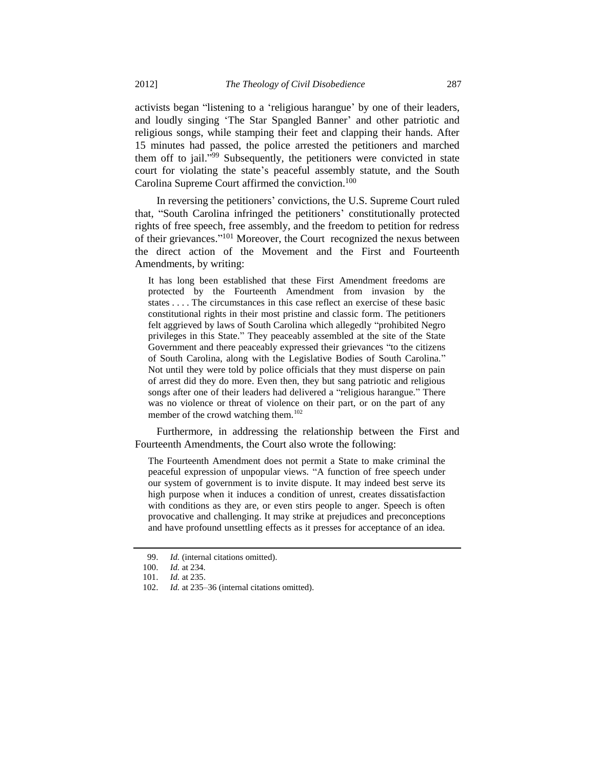activists began "listening to a 'religious harangue' by one of their leaders, and loudly singing 'The Star Spangled Banner' and other patriotic and religious songs, while stamping their feet and clapping their hands. After 15 minutes had passed, the police arrested the petitioners and marched them off to jail."<sup>99</sup> Subsequently, the petitioners were convicted in state court for violating the state's peaceful assembly statute, and the South Carolina Supreme Court affirmed the conviction.<sup>100</sup>

In reversing the petitioners' convictions, the U.S. Supreme Court ruled that, "South Carolina infringed the petitioners' constitutionally protected rights of free speech, free assembly, and the freedom to petition for redress of their grievances." <sup>101</sup> Moreover, the Court recognized the nexus between the direct action of the Movement and the First and Fourteenth Amendments, by writing:

It has long been established that these First Amendment freedoms are protected by the Fourteenth Amendment from invasion by the states . . . . The circumstances in this case reflect an exercise of these basic constitutional rights in their most pristine and classic form. The petitioners felt aggrieved by laws of South Carolina which allegedly "prohibited Negro privileges in this State." They peaceably assembled at the site of the State Government and there peaceably expressed their grievances "to the citizens of South Carolina, along with the Legislative Bodies of South Carolina." Not until they were told by police officials that they must disperse on pain of arrest did they do more. Even then, they but sang patriotic and religious songs after one of their leaders had delivered a "religious harangue." There was no violence or threat of violence on their part, or on the part of any member of the crowd watching them.<sup>102</sup>

Furthermore, in addressing the relationship between the First and Fourteenth Amendments, the Court also wrote the following:

The Fourteenth Amendment does not permit a State to make criminal the peaceful expression of unpopular views. "A function of free speech under our system of government is to invite dispute. It may indeed best serve its high purpose when it induces a condition of unrest, creates dissatisfaction with conditions as they are, or even stirs people to anger. Speech is often provocative and challenging. It may strike at prejudices and preconceptions and have profound unsettling effects as it presses for acceptance of an idea.

<sup>99.</sup> *Id.* (internal citations omitted).

<sup>100.</sup> *Id.* at 234*.*

<sup>101.</sup> *Id.* at 235.

<sup>102.</sup> *Id.* at 235–36 (internal citations omitted).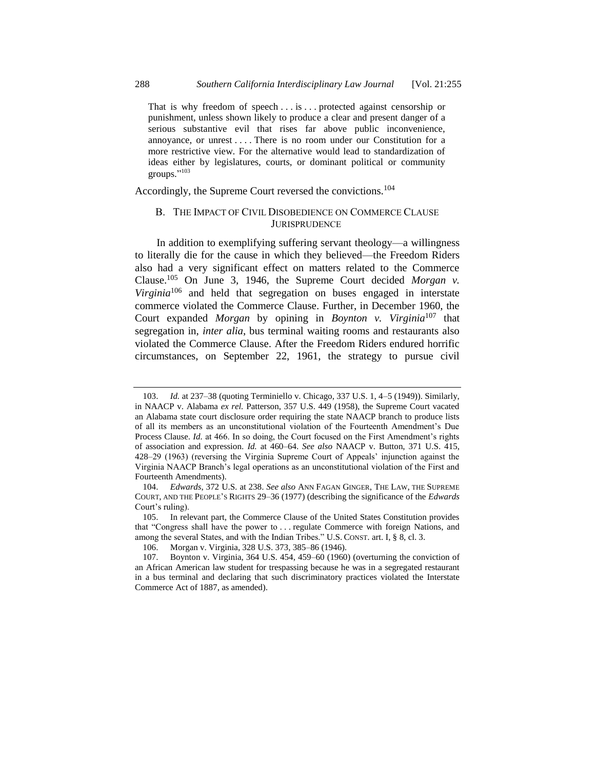That is why freedom of speech . . . is . . . protected against censorship or punishment, unless shown likely to produce a clear and present danger of a serious substantive evil that rises far above public inconvenience, annoyance, or unrest . . . . There is no room under our Constitution for a more restrictive view. For the alternative would lead to standardization of ideas either by legislatures, courts, or dominant political or community groups." 103

Accordingly, the Supreme Court reversed the convictions.<sup>104</sup>

## <span id="page-33-0"></span>B. THE IMPACT OF CIVIL DISOBEDIENCE ON COMMERCE CLAUSE JURISPRUDENCE

In addition to exemplifying suffering servant theology—a willingness to literally die for the cause in which they believed—the Freedom Riders also had a very significant effect on matters related to the Commerce Clause.<sup>105</sup> On June 3, 1946, the Supreme Court decided *Morgan v. Virginia*<sup>106</sup> and held that segregation on buses engaged in interstate commerce violated the Commerce Clause. Further, in December 1960, the Court expanded *Morgan* by opining in *Boynton v. Virginia*<sup>107</sup> that segregation in, *inter alia*, bus terminal waiting rooms and restaurants also violated the Commerce Clause. After the Freedom Riders endured horrific circumstances, on September 22, 1961, the strategy to pursue civil

<sup>103.</sup> *Id.* at 237–38 (quoting Terminiello v. Chicago, 337 U.S. 1, 4–5 (1949)). Similarly, in NAACP v. Alabama *ex rel.* Patterson, 357 U.S. 449 (1958), the Supreme Court vacated an Alabama state court disclosure order requiring the state NAACP branch to produce lists of all its members as an unconstitutional violation of the Fourteenth Amendment's Due Process Clause. *Id.* at 466. In so doing, the Court focused on the First Amendment's rights of association and expression. *Id.* at 460–64. *See also* NAACP v. Button, 371 U.S. 415, 428–29 (1963) (reversing the Virginia Supreme Court of Appeals' injunction against the Virginia NAACP Branch's legal operations as an unconstitutional violation of the First and Fourteenth Amendments).

<sup>104.</sup> *Edwards*, 372 U.S. at 238. *See also* ANN FAGAN GINGER, THE LAW, THE SUPREME COURT, AND THE PEOPLE'S RIGHTS 29–36 (1977) (describing the significance of the *Edwards* Court's ruling).

<sup>105.</sup> In relevant part, the Commerce Clause of the United States Constitution provides that "Congress shall have the power to . . . regulate Commerce with foreign Nations, and among the several States, and with the Indian Tribes." U.S. CONST. art. I, § 8, cl. 3.

<sup>106.</sup> Morgan v. Virginia, 328 U.S. 373, 385–86 (1946).

<sup>107.</sup> Boynton v. Virginia, 364 U.S. 454, 459–60 (1960) (overturning the conviction of an African American law student for trespassing because he was in a segregated restaurant in a bus terminal and declaring that such discriminatory practices violated the Interstate Commerce Act of 1887, as amended).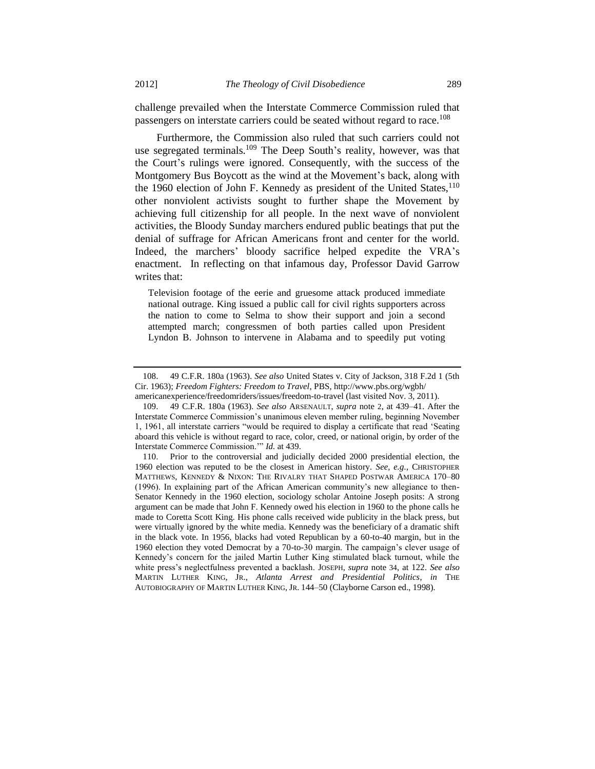challenge prevailed when the Interstate Commerce Commission ruled that passengers on interstate carriers could be seated without regard to race.<sup>108</sup>

Furthermore, the Commission also ruled that such carriers could not use segregated terminals.<sup>109</sup> The Deep South's reality, however, was that the Court's rulings were ignored. Consequently, with the success of the Montgomery Bus Boycott as the wind at the Movement's back, along with the 1960 election of John F. Kennedy as president of the United States,  $110$ other nonviolent activists sought to further shape the Movement by achieving full citizenship for all people. In the next wave of nonviolent activities, the Bloody Sunday marchers endured public beatings that put the denial of suffrage for African Americans front and center for the world. Indeed, the marchers' bloody sacrifice helped expedite the VRA's enactment. In reflecting on that infamous day, Professor David Garrow writes that:

Television footage of the eerie and gruesome attack produced immediate national outrage. King issued a public call for civil rights supporters across the nation to come to Selma to show their support and join a second attempted march; congressmen of both parties called upon President Lyndon B. Johnson to intervene in Alabama and to speedily put voting

<sup>108.</sup> 49 C.F.R. 180a (1963). *See also* United States v. City of Jackson, 318 F.2d 1 (5th Cir. 1963); *Freedom Fighters: Freedom to Travel*, PBS, http://www.pbs.org/wgbh/ americanexperience/freedomriders/issues/freedom-to-travel (last visited Nov. 3, 2011).

<sup>109.</sup> 49 C.F.R. 180a (1963). *See also* ARSENAULT, *supra* note [2](#page-2-0), at 439–41. After the Interstate Commerce Commission's unanimous eleven member ruling, beginning November 1, 1961, all interstate carriers "would be required to display a certificate that read 'Seating aboard this vehicle is without regard to race, color, creed, or national origin, by order of the Interstate Commerce Commission.'" *Id.* at 439.

<sup>110.</sup> Prior to the controversial and judicially decided 2000 presidential election, the 1960 election was reputed to be the closest in American history. *See, e.g.*, CHRISTOPHER MATTHEWS, KENNEDY & NIXON: THE RIVALRY THAT SHAPED POSTWAR AMERICA 170–80 (1996). In explaining part of the African American community's new allegiance to then-Senator Kennedy in the 1960 election, sociology scholar Antoine Joseph posits: A strong argument can be made that John F. Kennedy owed his election in 1960 to the phone calls he made to Coretta Scott King. His phone calls received wide publicity in the black press, but were virtually ignored by the white media. Kennedy was the beneficiary of a dramatic shift in the black vote. In 1956, blacks had voted Republican by a 60-to-40 margin, but in the 1960 election they voted Democrat by a 70-to-30 margin. The campaign's clever usage of Kennedy's concern for the jailed Martin Luther King stimulated black turnout, while the white press's neglectfulness prevented a backlash. JOSEPH, *supra* note [34](#page-11-0), at 122. *See also*  MARTIN LUTHER KING, JR., *Atlanta Arrest and Presidential Politics*, *in* THE AUTOBIOGRAPHY OF MARTIN LUTHER KING, JR. 144–50 (Clayborne Carson ed., 1998).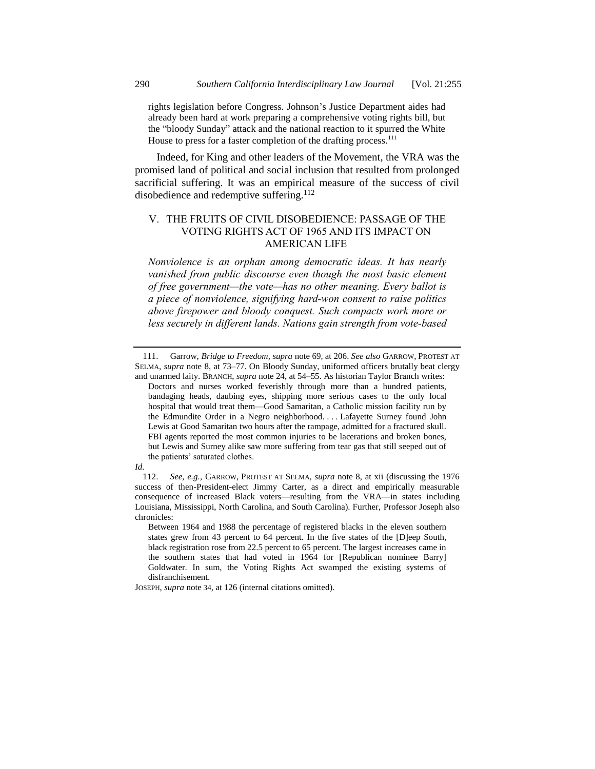<span id="page-35-0"></span>rights legislation before Congress. Johnson's Justice Department aides had already been hard at work preparing a comprehensive voting rights bill, but the "bloody Sunday" attack and the national reaction to it spurred the White House to press for a faster completion of the drafting process.<sup>111</sup>

Indeed, for King and other leaders of the Movement, the VRA was the promised land of political and social inclusion that resulted from prolonged sacrificial suffering. It was an empirical measure of the success of civil disobedience and redemptive suffering.<sup>112</sup>

# V. THE FRUITS OF CIVIL DISOBEDIENCE: PASSAGE OF THE VOTING RIGHTS ACT OF 1965 AND ITS IMPACT ON AMERICAN LIFE

*Nonviolence is an orphan among democratic ideas. It has nearly vanished from public discourse even though the most basic element of free government—the vote—has no other meaning. Every ballot is a piece of nonviolence, signifying hard-won consent to raise politics above firepower and bloody conquest. Such compacts work more or less securely in different lands. Nations gain strength from vote-based* 

<sup>111.</sup> Garrow, *Bridge to Freedom, supra* not[e 69](#page-25-0), at 206. *See also* GARROW, PROTEST AT SELMA, *supra* note [8,](#page-3-0) at 73–77. On Bloody Sunday, uniformed officers brutally beat clergy and unarmed laity. BRANCH, *supra* note [24,](#page-7-0) at 54–55. As historian Taylor Branch writes:

Doctors and nurses worked feverishly through more than a hundred patients, bandaging heads, daubing eyes, shipping more serious cases to the only local hospital that would treat them—Good Samaritan, a Catholic mission facility run by the Edmundite Order in a Negro neighborhood. . . . Lafayette Surney found John Lewis at Good Samaritan two hours after the rampage, admitted for a fractured skull. FBI agents reported the most common injuries to be lacerations and broken bones, but Lewis and Surney alike saw more suffering from tear gas that still seeped out of the patients' saturated clothes.

*Id.*

<sup>112.</sup> *See, e.g.*, GARROW, PROTEST AT SELMA, *supra* note [8,](#page-3-0) at xii (discussing the 1976 success of then-President-elect Jimmy Carter, as a direct and empirically measurable consequence of increased Black voters—resulting from the VRA—in states including Louisiana, Mississippi, North Carolina, and South Carolina). Further, Professor Joseph also chronicles:

Between 1964 and 1988 the percentage of registered blacks in the eleven southern states grew from 43 percent to 64 percent. In the five states of the [D]eep South, black registration rose from 22.5 percent to 65 percent. The largest increases came in the southern states that had voted in 1964 for [Republican nominee Barry] Goldwater. In sum, the Voting Rights Act swamped the existing systems of disfranchisement.

JOSEPH, *supra* note [34](#page-11-0), at 126 (internal citations omitted).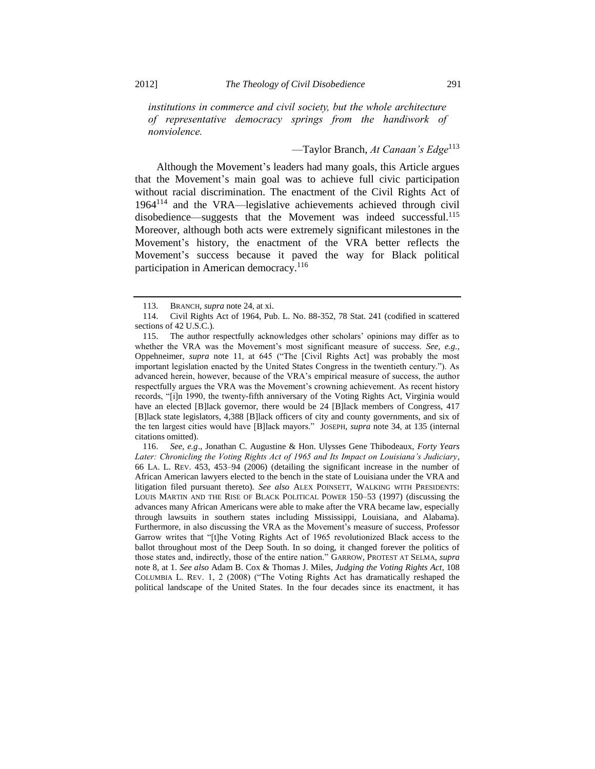<span id="page-36-0"></span>

*institutions in commerce and civil society, but the whole architecture of representative democracy springs from the handiwork of nonviolence.*

<span id="page-36-1"></span>—Taylor Branch, *At Canaan's Edge*<sup>113</sup>

Although the Movement's leaders had many goals, this Article argues that the Movement's main goal was to achieve full civic participation without racial discrimination. The enactment of the Civil Rights Act of 1964<sup>114</sup> and the VRA—legislative achievements achieved through civil disobedience—suggests that the Movement was indeed successful.<sup>115</sup> Moreover, although both acts were extremely significant milestones in the Movement's history, the enactment of the VRA better reflects the Movement's success because it paved the way for Black political participation in American democracy.<sup>116</sup>

116. *See, e.g*., Jonathan C. Augustine & Hon. Ulysses Gene Thibodeaux, *Forty Years Later: Chronicling the Voting Rights Act of 1965 and Its Impact on Louisiana's Judiciary*, 66 LA. L. REV. 453, 453–94 (2006) (detailing the significant increase in the number of African American lawyers elected to the bench in the state of Louisiana under the VRA and litigation filed pursuant thereto). *See also* ALEX POINSETT, WALKING WITH PRESIDENTS: LOUIS MARTIN AND THE RISE OF BLACK POLITICAL POWER 150–53 (1997) (discussing the advances many African Americans were able to make after the VRA became law, especially through lawsuits in southern states including Mississippi, Louisiana, and Alabama). Furthermore, in also discussing the VRA as the Movement's measure of success, Professor Garrow writes that "[t]he Voting Rights Act of 1965 revolutionized Black access to the ballot throughout most of the Deep South. In so doing, it changed forever the politics of those states and, indirectly, those of the entire nation." GARROW, PROTEST AT SELMA, *supra*  note [8,](#page-3-0) at 1. *See also* Adam B. Cox & Thomas J. Miles, *Judging the Voting Rights Act*, 108 COLUMBIA L. REV. 1, 2 (2008) ("The Voting Rights Act has dramatically reshaped the political landscape of the United States. In the four decades since its enactment, it has

<sup>113.</sup> BRANCH, *supra* not[e 24](#page-7-0), at xi.

<sup>114.</sup> Civil Rights Act of 1964, Pub. L. No. 88-352, 78 Stat. 241 (codified in scattered sections of 42 U.S.C.).

<sup>115.</sup> The author respectfully acknowledges other scholars' opinions may differ as to whether the VRA was the Movement's most significant measure of success. *See, e.g.,*  Oppehneimer, *supra* note [11](#page-5-0), at 645 ("The [Civil Rights Act] was probably the most important legislation enacted by the United States Congress in the twentieth century."). As advanced herein, however, because of the VRA's empirical measure of success, the author respectfully argues the VRA was the Movement's crowning achievement. As recent history records, "[i]n 1990, the twenty-fifth anniversary of the Voting Rights Act, Virginia would have an elected [B]lack governor, there would be 24 [B]lack members of Congress, 417 [B]lack state legislators, 4,388 [B]lack officers of city and county governments, and six of the ten largest cities would have [B]lack mayors." JOSEPH, *supra* note [34](#page-11-0), at 135 (internal citations omitted).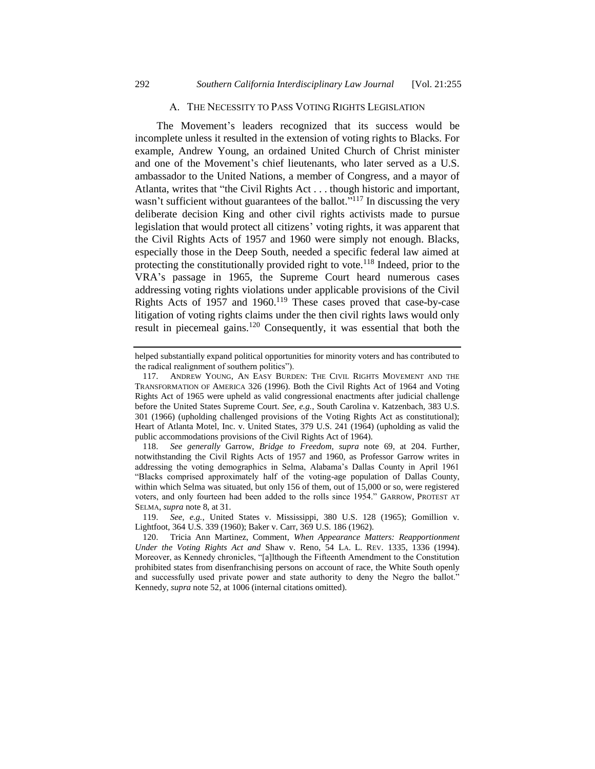### A. THE NECESSITY TO PASS VOTING RIGHTS LEGISLATION

The Movement's leaders recognized that its success would be incomplete unless it resulted in the extension of voting rights to Blacks. For example, Andrew Young, an ordained United Church of Christ minister and one of the Movement's chief lieutenants, who later served as a U.S. ambassador to the United Nations, a member of Congress, and a mayor of Atlanta, writes that "the Civil Rights Act . . . though historic and important, wasn't sufficient without guarantees of the ballot."<sup>117</sup> In discussing the very deliberate decision King and other civil rights activists made to pursue legislation that would protect all citizens' voting rights, it was apparent that the Civil Rights Acts of 1957 and 1960 were simply not enough. Blacks, especially those in the Deep South, needed a specific federal law aimed at protecting the constitutionally provided right to vote.<sup>118</sup> Indeed, prior to the VRA's passage in 1965, the Supreme Court heard numerous cases addressing voting rights violations under applicable provisions of the Civil Rights Acts of 1957 and 1960.<sup>119</sup> These cases proved that case-by-case litigation of voting rights claims under the then civil rights laws would only result in piecemeal gains.<sup>120</sup> Consequently, it was essential that both the

helped substantially expand political opportunities for minority voters and has contributed to the radical realignment of southern politics").

<sup>117.</sup> ANDREW YOUNG, AN EASY BURDEN: THE CIVIL RIGHTS MOVEMENT AND THE TRANSFORMATION OF AMERICA 326 (1996). Both the Civil Rights Act of 1964 and Voting Rights Act of 1965 were upheld as valid congressional enactments after judicial challenge before the United States Supreme Court. *See, e.g.*, South Carolina v. Katzenbach, 383 U.S. 301 (1966) (upholding challenged provisions of the Voting Rights Act as constitutional); Heart of Atlanta Motel, Inc. v. United States, 379 U.S. 241 (1964) (upholding as valid the public accommodations provisions of the Civil Rights Act of 1964).

<sup>118.</sup> *See generally* Garrow, *Bridge to Freedom*, *supra* note [69,](#page-25-0) at 204. Further, notwithstanding the Civil Rights Acts of 1957 and 1960, as Professor Garrow writes in addressing the voting demographics in Selma, Alabama's Dallas County in April 1961 "Blacks comprised approximately half of the voting-age population of Dallas County, within which Selma was situated, but only 156 of them, out of 15,000 or so, were registered voters, and only fourteen had been added to the rolls since 1954." GARROW, PROTEST AT SELMA, *supra* note [8,](#page-3-0) at 31.

<sup>119.</sup> *See, e.g.*, United States v. Mississippi, 380 U.S. 128 (1965); Gomillion v. Lightfoot, 364 U.S. 339 (1960); Baker v. Carr, 369 U.S. 186 (1962).

<sup>120.</sup> Tricia Ann Martinez, Comment, *When Appearance Matters: Reapportionment Under the Voting Rights Act and* Shaw v. Reno, 54 LA. L. REV. 1335, 1336 (1994). Moreover, as Kennedy chronicles, "[a]lthough the Fifteenth Amendment to the Constitution prohibited states from disenfranchising persons on account of race, the White South openly and successfully used private power and state authority to deny the Negro the ballot." Kennedy, *supra* not[e 52,](#page-17-0) at 1006 (internal citations omitted).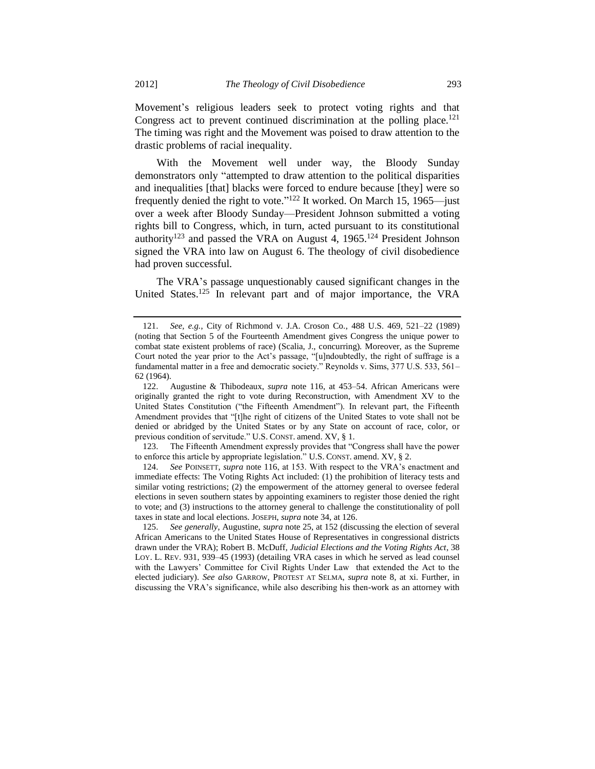Movement's religious leaders seek to protect voting rights and that Congress act to prevent continued discrimination at the polling place.<sup>121</sup> The timing was right and the Movement was poised to draw attention to the drastic problems of racial inequality.

With the Movement well under way, the Bloody Sunday demonstrators only "attempted to draw attention to the political disparities and inequalities [that] blacks were forced to endure because [they] were so frequently denied the right to vote."<sup>122</sup> It worked. On March 15, 1965—just over a week after Bloody Sunday—President Johnson submitted a voting rights bill to Congress, which, in turn, acted pursuant to its constitutional authority<sup>123</sup> and passed the VRA on August 4, 1965.<sup>124</sup> President Johnson signed the VRA into law on August 6. The theology of civil disobedience had proven successful.

The VRA's passage unquestionably caused significant changes in the United States.<sup>125</sup> In relevant part and of major importance, the VRA

123. The Fifteenth Amendment expressly provides that "Congress shall have the power to enforce this article by appropriate legislation." U.S. CONST. amend. XV, § 2.

124. *See* POINSETT, *supra* note [116,](#page-36-1) at 153. With respect to the VRA's enactment and immediate effects: The Voting Rights Act included: (1) the prohibition of literacy tests and similar voting restrictions; (2) the empowerment of the attorney general to oversee federal elections in seven southern states by appointing examiners to register those denied the right to vote; and (3) instructions to the attorney general to challenge the constitutionality of poll taxes in state and local elections. JOSEPH, *supra* note [34,](#page-11-0) at 126.

125. *See generally*, Augustine, *supra* not[e 25,](#page-8-0) at 152 (discussing the election of several African Americans to the United States House of Representatives in congressional districts drawn under the VRA); Robert B. McDuff*, Judicial Elections and the Voting Rights Act*, 38 LOY. L. REV. 931, 939–45 (1993) (detailing VRA cases in which he served as lead counsel with the Lawyers' Committee for Civil Rights Under Law that extended the Act to the elected judiciary). *See also* GARROW, PROTEST AT SELMA, *supra* note [8,](#page-3-0) at xi. Further, in discussing the VRA's significance, while also describing his then-work as an attorney with

<sup>121.</sup> *See, e.g.*, City of Richmond v. J.A. Croson Co*.*, 488 U.S. 469, 521–22 (1989) (noting that Section 5 of the Fourteenth Amendment gives Congress the unique power to combat state existent problems of race) (Scalia, J., concurring)*.* Moreover, as the Supreme Court noted the year prior to the Act's passage, "[u]ndoubtedly, the right of suffrage is a fundamental matter in a free and democratic society." Reynolds v. Sims, 377 U.S. 533, 561– 62 (1964).

<sup>122.</sup> Augustine & Thibodeaux, *supra* note [116,](#page-36-1) at 453–54. African Americans were originally granted the right to vote during Reconstruction, with Amendment XV to the United States Constitution ("the Fifteenth Amendment"). In relevant part, the Fifteenth Amendment provides that "[t]he right of citizens of the United States to vote shall not be denied or abridged by the United States or by any State on account of race, color, or previous condition of servitude." U.S. CONST. amend. XV, § 1.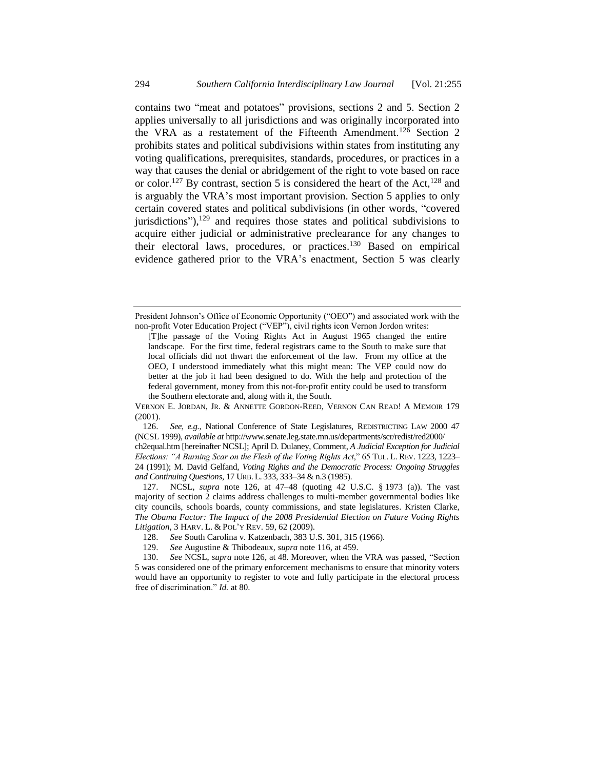<span id="page-39-0"></span>contains two "meat and potatoes" provisions, sections 2 and 5. Section 2 applies universally to all jurisdictions and was originally incorporated into the VRA as a restatement of the Fifteenth Amendment.<sup>126</sup> Section 2 prohibits states and political subdivisions within states from instituting any voting qualifications, prerequisites, standards, procedures, or practices in a way that causes the denial or abridgement of the right to vote based on race or color.<sup>127</sup> By contrast, section 5 is considered the heart of the Act,<sup>128</sup> and is arguably the VRA's most important provision. Section 5 applies to only certain covered states and political subdivisions (in other words, "covered jurisdictions"), $129$  and requires those states and political subdivisions to acquire either judicial or administrative preclearance for any changes to their electoral laws, procedures, or practices.<sup>130</sup> Based on empirical evidence gathered prior to the VRA's enactment, Section 5 was clearly

VERNON E. JORDAN, JR. & ANNETTE GORDON-REED, VERNON CAN READ! A MEMOIR 179 (2001).

126. *See, e.g.*, National Conference of State Legislatures, REDISTRICTING LAW 2000 47 (NCSL 1999), *available at* http://www.senate.leg.state.mn.us/departments/scr/redist/red2000/

ch2equal.htm [hereinafter NCSL]; April D. Dulaney, Comment, *A Judicial Exception for Judicial Elections: "A Burning Scar on the Flesh of the Voting Rights Act*," 65 TUL. L. REV. 1223, 1223– 24 (1991); M. David Gelfand, *Voting Rights and the Democratic Process: Ongoing Struggles and Continuing Questions*, 17 URB. L. 333, 333–34 & n.3 (1985).

127. NCSL, *supra* note [126,](#page-39-0) at 47–48 (quoting 42 U.S.C. § 1973 (a)). The vast majority of section 2 claims address challenges to multi-member governmental bodies like city councils, schools boards, county commissions, and state legislatures. Kristen Clarke, *The Obama Factor: The Impact of the 2008 Presidential Election on Future Voting Rights Litigation*, 3 HARV. L. & POL'Y REV. 59, 62 (2009).

President Johnson's Office of Economic Opportunity ("OEO") and associated work with the non-profit Voter Education Project ("VEP"), civil rights icon Vernon Jordon writes:

<sup>[</sup>T]he passage of the Voting Rights Act in August 1965 changed the entire landscape. For the first time, federal registrars came to the South to make sure that local officials did not thwart the enforcement of the law. From my office at the OEO, I understood immediately what this might mean: The VEP could now do better at the job it had been designed to do. With the help and protection of the federal government, money from this not-for-profit entity could be used to transform the Southern electorate and, along with it, the South.

<sup>128.</sup> *See* South Carolina v. Katzenbach, 383 U.S. 301, 315 (1966).

<sup>129.</sup> *See* Augustine & Thibodeaux, *supra* not[e 116,](#page-36-1) at 459.

<sup>130.</sup> *See* NCSL, *supra* note [126,](#page-39-0) at 48. Moreover, when the VRA was passed, "Section 5 was considered one of the primary enforcement mechanisms to ensure that minority voters would have an opportunity to register to vote and fully participate in the electoral process free of discrimination." *Id.* at 80.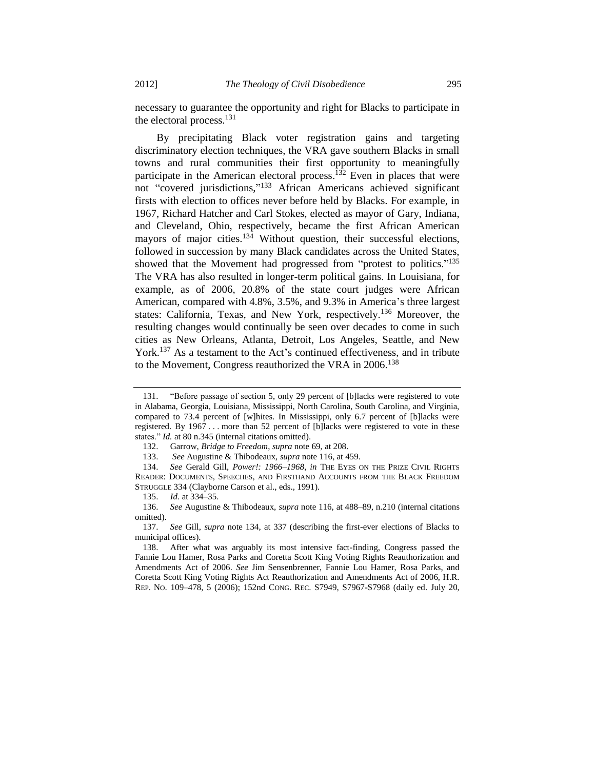necessary to guarantee the opportunity and right for Blacks to participate in the electoral process.<sup>131</sup>

<span id="page-40-0"></span>By precipitating Black voter registration gains and targeting discriminatory election techniques, the VRA gave southern Blacks in small towns and rural communities their first opportunity to meaningfully participate in the American electoral process.<sup>132</sup> Even in places that were not "covered jurisdictions," <sup>133</sup> African Americans achieved significant firsts with election to offices never before held by Blacks. For example, in 1967, Richard Hatcher and Carl Stokes, elected as mayor of Gary, Indiana, and Cleveland, Ohio, respectively, became the first African American mayors of major cities. $13\overline{4}$  Without question, their successful elections, followed in succession by many Black candidates across the United States, showed that the Movement had progressed from "protest to politics."<sup>135</sup> The VRA has also resulted in longer-term political gains. In Louisiana, for example, as of 2006, 20.8% of the state court judges were African American, compared with 4.8%, 3.5%, and 9.3% in America's three largest states: California, Texas, and New York, respectively.<sup>136</sup> Moreover, the resulting changes would continually be seen over decades to come in such cities as New Orleans, Atlanta, Detroit, Los Angeles, Seattle, and New York.<sup>137</sup> As a testament to the Act's continued effectiveness, and in tribute to the Movement, Congress reauthorized the VRA in 2006.<sup>138</sup>

<span id="page-40-1"></span><sup>131.</sup> "Before passage of section 5, only 29 percent of [b]lacks were registered to vote in Alabama, Georgia, Louisiana, Mississippi, North Carolina, South Carolina, and Virginia, compared to 73.4 percent of [w]hites. In Mississippi, only 6.7 percent of [b]lacks were registered. By 1967 . . . more than 52 percent of [b]lacks were registered to vote in these states." *Id.* at 80 n.345 (internal citations omitted).

<sup>132.</sup> Garrow, *Bridge to Freedom*, *supra* not[e 69,](#page-25-0) at 208.

<sup>133.</sup> *See* Augustine & Thibodeaux, *supra* not[e 116,](#page-36-1) at 459.

<sup>134.</sup> *See* Gerald Gill, *Power!: 1966–1968*, *in* THE EYES ON THE PRIZE CIVIL RIGHTS READER: DOCUMENTS, SPEECHES, AND FIRSTHAND ACCOUNTS FROM THE BLACK FREEDOM STRUGGLE 334 (Clayborne Carson et al., eds., 1991).

<sup>135.</sup> *Id.* at 334–35.

<sup>136.</sup> *See* Augustine & Thibodeaux, *supra* note [116,](#page-36-1) at 488–89, n.210 (internal citations omitted).

<sup>137.</sup> *See* Gill, *supra* note [134,](#page-40-0) at 337 (describing the first-ever elections of Blacks to municipal offices).

<sup>138.</sup> After what was arguably its most intensive fact-finding, Congress passed the Fannie Lou Hamer, Rosa Parks and Coretta Scott King Voting Rights Reauthorization and Amendments Act of 2006. *See* Jim Sensenbrenner, Fannie Lou Hamer, Rosa Parks, and Coretta Scott King Voting Rights Act Reauthorization and Amendments Act of 2006, H.R. REP. NO. 109–478, 5 (2006); 152nd CONG. REC. S7949, S7967-S7968 (daily ed. July 20,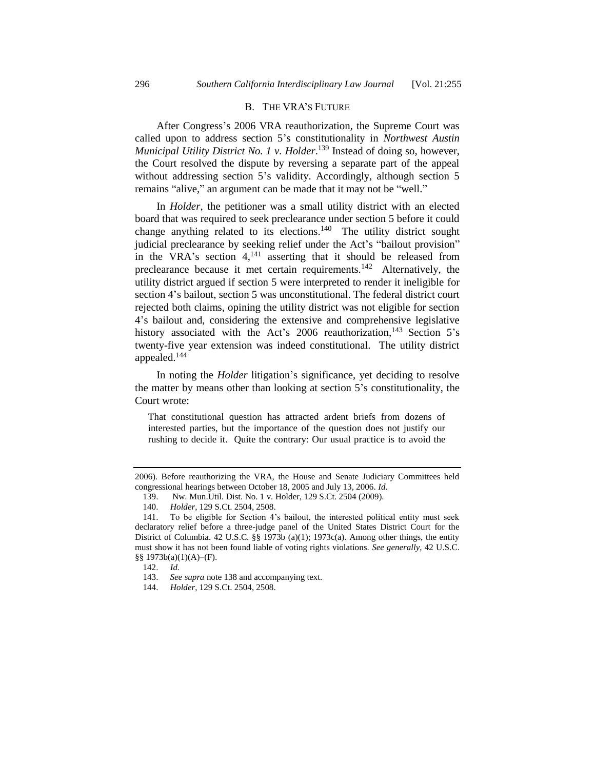## B. THE VRA'S FUTURE

After Congress's 2006 VRA reauthorization, the Supreme Court was called upon to address section 5's constitutionality in *Northwest Austin Municipal Utility District No. 1 v. Holder*. <sup>139</sup> Instead of doing so, however, the Court resolved the dispute by reversing a separate part of the appeal without addressing section 5's validity. Accordingly, although section 5 remains "alive," an argument can be made that it may not be "well."

<span id="page-41-0"></span>In *Holder*, the petitioner was a small utility district with an elected board that was required to seek preclearance under section 5 before it could change anything related to its elections.<sup>140</sup> The utility district sought judicial preclearance by seeking relief under the Act's "bailout provision" in the VRA's section  $4,^{141}$  asserting that it should be released from preclearance because it met certain requirements.<sup>142</sup> Alternatively, the utility district argued if section 5 were interpreted to render it ineligible for section 4's bailout, section 5 was unconstitutional. The federal district court rejected both claims, opining the utility district was not eligible for section 4's bailout and, considering the extensive and comprehensive legislative history associated with the Act's  $2006$  reauthorization, <sup>143</sup> Section 5's twenty-five year extension was indeed constitutional. The utility district appealed.<sup>144</sup>

In noting the *Holder* litigation's significance, yet deciding to resolve the matter by means other than looking at section 5's constitutionality, the Court wrote:

That constitutional question has attracted ardent briefs from dozens of interested parties, but the importance of the question does not justify our rushing to decide it. Quite the contrary: Our usual practice is to avoid the

<sup>2006).</sup> Before reauthorizing the VRA, the House and Senate Judiciary Committees held congressional hearings between October 18, 2005 and July 13, 2006. *Id.*

<sup>139.</sup> Nw. Mun.Util. Dist. No. 1 v. Holder, 129 S.Ct. 2504 (2009).

<sup>140.</sup> *Holder*, 129 S.Ct. 2504, 2508.

<sup>141.</sup> To be eligible for Section 4's bailout, the interested political entity must seek declaratory relief before a three-judge panel of the United States District Court for the District of Columbia. 42 U.S.C. §§ 1973b (a)(1); 1973c(a). Among other things, the entity must show it has not been found liable of voting rights violations. *See generally,* 42 U.S.C. §§ 1973b(a)(1)(A)–(F).

<sup>142.</sup> *Id.*

<sup>143.</sup> *See supra* not[e 138](#page-40-1) and accompanying text.

<sup>144.</sup> *Holder,* 129 S.Ct. 2504, 2508.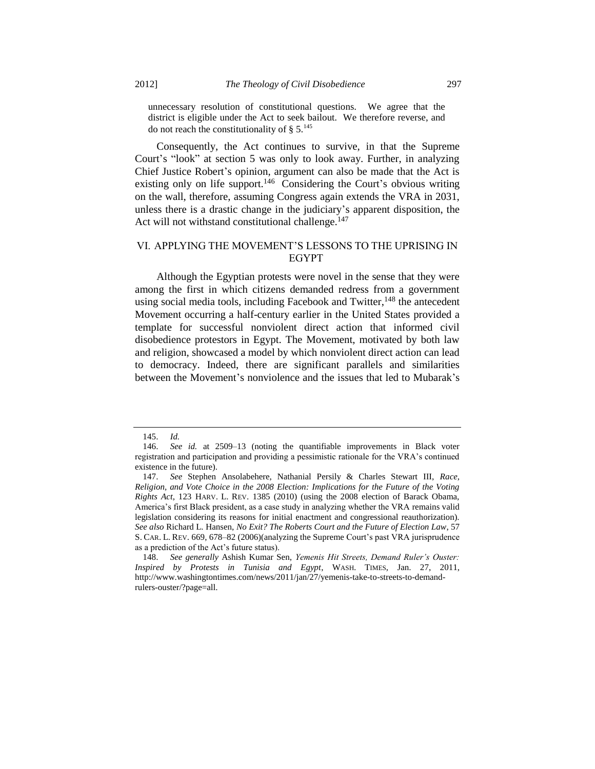unnecessary resolution of constitutional questions. We agree that the district is eligible under the Act to seek bailout. We therefore reverse, and do not reach the constitutionality of  $\S 5$ .<sup>145</sup>

Consequently, the Act continues to survive, in that the Supreme Court's "look" at section 5 was only to look away. Further, in analyzing Chief Justice Robert's opinion, argument can also be made that the Act is existing only on life support.<sup>146</sup> Considering the Court's obvious writing on the wall, therefore, assuming Congress again extends the VRA in 2031, unless there is a drastic change in the judiciary's apparent disposition, the Act will not withstand constitutional challenge.<sup>147</sup>

# VI. APPLYING THE MOVEMENT'S LESSONS TO THE UPRISING IN EGYPT

Although the Egyptian protests were novel in the sense that they were among the first in which citizens demanded redress from a government using social media tools, including Facebook and Twitter,  $^{148}$  the antecedent Movement occurring a half-century earlier in the United States provided a template for successful nonviolent direct action that informed civil disobedience protestors in Egypt. The Movement, motivated by both law and religion, showcased a model by which nonviolent direct action can lead to democracy. Indeed, there are significant parallels and similarities between the Movement's nonviolence and the issues that led to Mubarak's

<sup>145.</sup> *Id.*

<sup>146.</sup> *See id.* at 2509–13 (noting the quantifiable improvements in Black voter registration and participation and providing a pessimistic rationale for the VRA's continued existence in the future).

<sup>147.</sup> *See* Stephen Ansolabehere, Nathanial Persily & Charles Stewart III, *Race, Religion, and Vote Choice in the 2008 Election: Implications for the Future of the Voting Rights Act*, 123 HARV. L. REV. 1385 (2010) (using the 2008 election of Barack Obama, America's first Black president, as a case study in analyzing whether the VRA remains valid legislation considering its reasons for initial enactment and congressional reauthorization). *See also* Richard L. Hansen, *No Exit? The Roberts Court and the Future of Election Law*, 57 S. CAR. L. REV. 669, 678–82 (2006)(analyzing the Supreme Court's past VRA jurisprudence as a prediction of the Act's future status).

<sup>148.</sup> *See generally* Ashish Kumar Sen, *Yemenis Hit Streets, Demand Ruler's Ouster: Inspired by Protests in Tunisia and Egypt*, WASH. TIMES, Jan. 27, 2011, http://www.washingtontimes.com/news/2011/jan/27/yemenis-take-to-streets-to-demandrulers-ouster/?page=all.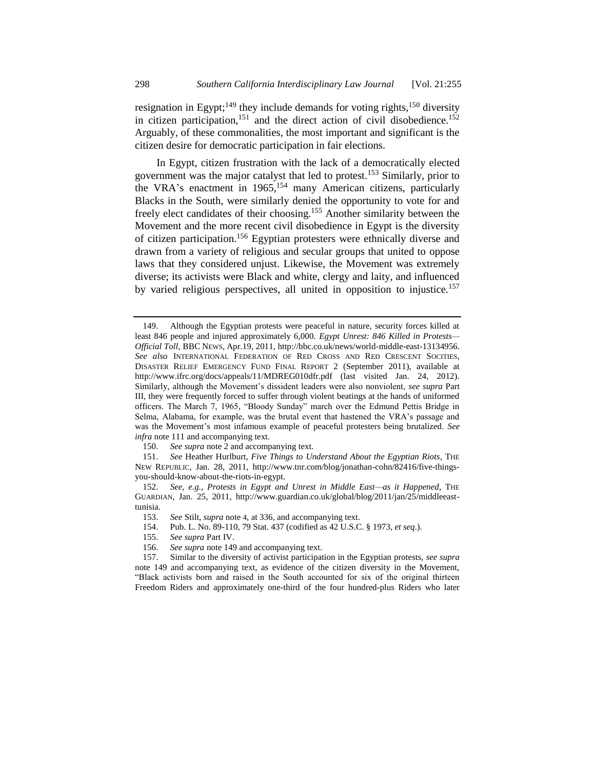<span id="page-43-0"></span>resignation in Egypt;<sup>149</sup> they include demands for voting rights,<sup>150</sup> diversity in citizen participation, $151$  and the direct action of civil disobedience.<sup>152</sup> Arguably, of these commonalities, the most important and significant is the citizen desire for democratic participation in fair elections.

In Egypt, citizen frustration with the lack of a democratically elected government was the major catalyst that led to protest.<sup>153</sup> Similarly, prior to the VRA's enactment in 1965,<sup>154</sup> many American citizens, particularly Blacks in the South, were similarly denied the opportunity to vote for and freely elect candidates of their choosing.<sup>155</sup> Another similarity between the Movement and the more recent civil disobedience in Egypt is the diversity of citizen participation.<sup>156</sup> Egyptian protesters were ethnically diverse and drawn from a variety of religious and secular groups that united to oppose laws that they considered unjust. Likewise, the Movement was extremely diverse; its activists were Black and white, clergy and laity, and influenced by varied religious perspectives, all united in opposition to injustice.<sup>157</sup>

154. Pub. L. No. 89-110, 79 Stat. 437 (codified as 42 U.S.C. § 1973, *et seq*.).

156. *See supra* note [149](#page-43-0) and accompanying text.

<sup>149.</sup> Although the Egyptian protests were peaceful in nature, security forces killed at least 846 people and injured approximately 6,000. *Egypt Unrest: 846 Killed in Protests— Official Toll*, BBC NEWS, Apr.19, 2011, http://bbc.co.uk/news/world-middle-east-13134956. *See also* INTERNATIONAL FEDERATION OF RED CROSS AND RED CRESCENT SOCITIES, DISASTER RELIEF EMERGENCY FUND FINAL REPORT 2 (September 2011), available at http://www.ifrc.org/docs/appeals/11/MDREG010dfr.pdf (last visited Jan. 24, 2012). Similarly, although the Movement's dissident leaders were also nonviolent, *see supra* Part III, they were frequently forced to suffer through violent beatings at the hands of uniformed officers. The March 7, 1965, "Bloody Sunday" march over the Edmund Pettis Bridge in Selma, Alabama, for example, was the brutal event that hastened the VRA's passage and was the Movement's most infamous example of peaceful protesters being brutalized. *See infra* not[e 111](#page-35-0) and accompanying text.

<sup>150.</sup> *See supra* not[e 2](#page-2-0) and accompanying text.

<sup>151.</sup> *See* Heather Hurlburt, *Five Things to Understand About the Egyptian Riots*, THE NEW REPUBLIC, Jan. 28, 2011, http://www.tnr.com/blog/jonathan-cohn/82416/five-thingsyou-should-know-about-the-riots-in-egypt.

<sup>152.</sup> *See, e.g., Protests in Egypt and Unrest in Middle East—as it Happened*, THE GUARDIAN, Jan. 25, 2011, http://www.guardian.co.uk/global/blog/2011/jan/25/middleeasttunisia.

<sup>153.</sup> *See* Stilt, *supra* note [4](#page-2-1), at 336, and accompanying text.

<sup>155.</sup> *See supra* Part IV.

<sup>157.</sup> Similar to the diversity of activist participation in the Egyptian protests, *see supra*  note [149](#page-43-0) and accompanying text, as evidence of the citizen diversity in the Movement, "Black activists born and raised in the South accounted for six of the original thirteen Freedom Riders and approximately one-third of the four hundred-plus Riders who later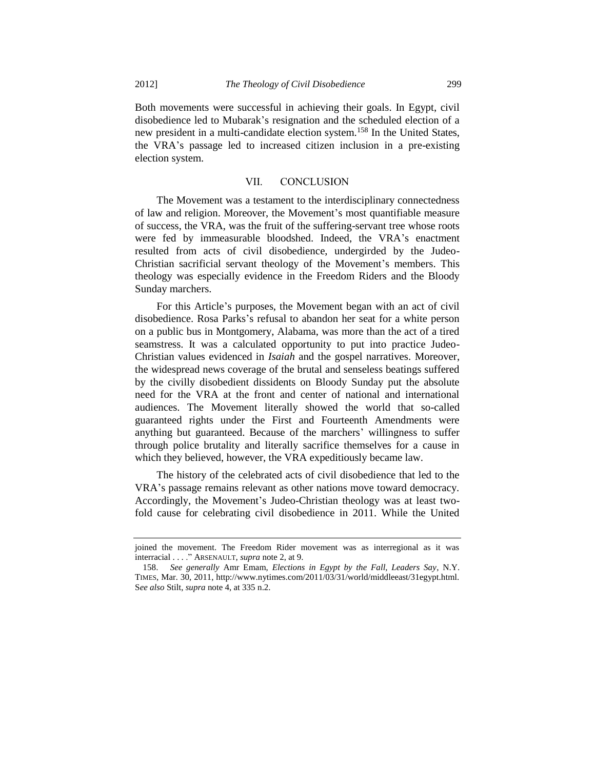Both movements were successful in achieving their goals. In Egypt, civil disobedience led to Mubarak's resignation and the scheduled election of a new president in a multi-candidate election system.<sup>158</sup> In the United States, the VRA's passage led to increased citizen inclusion in a pre-existing election system.

## VII. CONCLUSION

The Movement was a testament to the interdisciplinary connectedness of law and religion. Moreover, the Movement's most quantifiable measure of success, the VRA, was the fruit of the suffering-servant tree whose roots were fed by immeasurable bloodshed. Indeed, the VRA's enactment resulted from acts of civil disobedience, undergirded by the Judeo-Christian sacrificial servant theology of the Movement's members. This theology was especially evidence in the Freedom Riders and the Bloody Sunday marchers.

For this Article's purposes, the Movement began with an act of civil disobedience. Rosa Parks's refusal to abandon her seat for a white person on a public bus in Montgomery, Alabama, was more than the act of a tired seamstress. It was a calculated opportunity to put into practice Judeo-Christian values evidenced in *Isaiah* and the gospel narratives. Moreover, the widespread news coverage of the brutal and senseless beatings suffered by the civilly disobedient dissidents on Bloody Sunday put the absolute need for the VRA at the front and center of national and international audiences. The Movement literally showed the world that so-called guaranteed rights under the First and Fourteenth Amendments were anything but guaranteed. Because of the marchers' willingness to suffer through police brutality and literally sacrifice themselves for a cause in which they believed, however, the VRA expeditiously became law.

The history of the celebrated acts of civil disobedience that led to the VRA's passage remains relevant as other nations move toward democracy. Accordingly, the Movement's Judeo-Christian theology was at least twofold cause for celebrating civil disobedience in 2011. While the United

joined the movement. The Freedom Rider movement was as interregional as it was interracial . . . ." ARSENAULT, *supra* not[e 2,](#page-2-0) at 9.

<sup>158.</sup> *See generally* Amr Emam, *Elections in Egypt by the Fall, Leaders Say*, N.Y. TIMES, Mar. 30, 2011, http://www.nytimes.com/2011/03/31/world/middleeast/31egypt.html. S*ee also* Stilt, *supra* not[e 4,](#page-2-1) at 335 n.2.